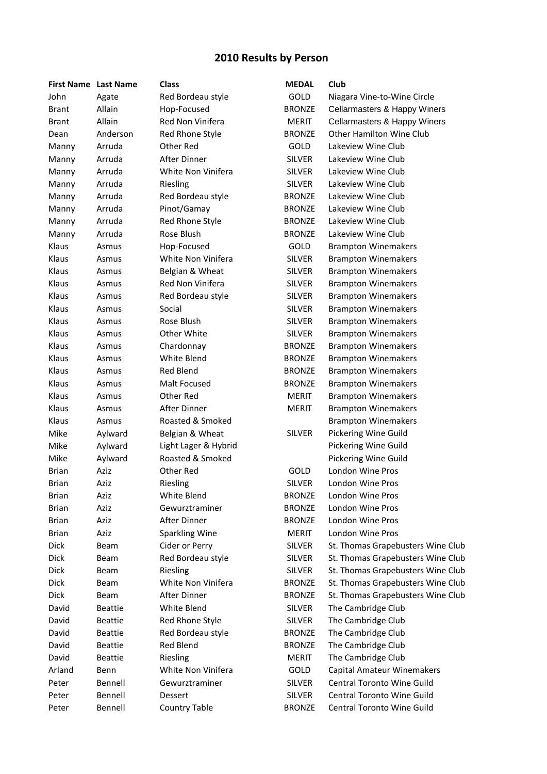## **2010 Results by Person**

| <b>First Name</b> Last Name |                | <b>Class</b>          | <b>MEDAL</b>  | Club                              |
|-----------------------------|----------------|-----------------------|---------------|-----------------------------------|
| John                        | Agate          | Red Bordeau style     | <b>GOLD</b>   | Niagara Vine-to-Wine Circle       |
| <b>Brant</b>                | Allain         | Hop-Focused           | <b>BRONZE</b> | Cellarmasters & Happy Winers      |
| <b>Brant</b>                | Allain         | Red Non Vinifera      | <b>MERIT</b>  | Cellarmasters & Happy Winers      |
| Dean                        | Anderson       | Red Rhone Style       | <b>BRONZE</b> | <b>Other Hamilton Wine Club</b>   |
| Manny                       | Arruda         | Other Red             | GOLD          | Lakeview Wine Club                |
| Manny                       | Arruda         | After Dinner          | <b>SILVER</b> | Lakeview Wine Club                |
| Manny                       | Arruda         | White Non Vinifera    | <b>SILVER</b> | Lakeview Wine Club                |
| Manny                       | Arruda         | Riesling              | <b>SILVER</b> | Lakeview Wine Club                |
| Manny                       | Arruda         | Red Bordeau style     | <b>BRONZE</b> | Lakeview Wine Club                |
| Manny                       | Arruda         | Pinot/Gamay           | <b>BRONZE</b> | Lakeview Wine Club                |
| Manny                       | Arruda         | Red Rhone Style       | <b>BRONZE</b> | Lakeview Wine Club                |
| Manny                       | Arruda         | Rose Blush            | <b>BRONZE</b> | Lakeview Wine Club                |
| Klaus                       | Asmus          | Hop-Focused           | GOLD          | <b>Brampton Winemakers</b>        |
| Klaus                       | Asmus          | White Non Vinifera    | <b>SILVER</b> | <b>Brampton Winemakers</b>        |
| Klaus                       | Asmus          | Belgian & Wheat       | <b>SILVER</b> | <b>Brampton Winemakers</b>        |
| Klaus                       | Asmus          | Red Non Vinifera      | <b>SILVER</b> | <b>Brampton Winemakers</b>        |
| Klaus                       | Asmus          | Red Bordeau style     | <b>SILVER</b> | <b>Brampton Winemakers</b>        |
| Klaus                       | Asmus          | Social                | <b>SILVER</b> | <b>Brampton Winemakers</b>        |
| Klaus                       | Asmus          | Rose Blush            | <b>SILVER</b> | <b>Brampton Winemakers</b>        |
| Klaus                       | Asmus          | Other White           | <b>SILVER</b> | <b>Brampton Winemakers</b>        |
| Klaus                       | Asmus          | Chardonnay            | <b>BRONZE</b> | <b>Brampton Winemakers</b>        |
| Klaus                       | Asmus          | White Blend           | <b>BRONZE</b> | <b>Brampton Winemakers</b>        |
| Klaus                       | Asmus          | <b>Red Blend</b>      | <b>BRONZE</b> | <b>Brampton Winemakers</b>        |
| Klaus                       | Asmus          | Malt Focused          | <b>BRONZE</b> | <b>Brampton Winemakers</b>        |
| Klaus                       | Asmus          | Other Red             | <b>MERIT</b>  | <b>Brampton Winemakers</b>        |
| Klaus                       | Asmus          | After Dinner          | MERIT         | <b>Brampton Winemakers</b>        |
| Klaus                       | Asmus          | Roasted & Smoked      |               | <b>Brampton Winemakers</b>        |
| Mike                        | Aylward        | Belgian & Wheat       | <b>SILVER</b> | Pickering Wine Guild              |
| Mike                        | Aylward        | Light Lager & Hybrid  |               | Pickering Wine Guild              |
| Mike                        | Aylward        | Roasted & Smoked      |               | Pickering Wine Guild              |
| <b>Brian</b>                | Aziz           | Other Red             | GOLD          | London Wine Pros                  |
| <b>Brian</b>                | Aziz           | Riesling              | <b>SILVER</b> | London Wine Pros                  |
| <b>Brian</b>                | Aziz           | White Blend           | <b>BRONZE</b> | London Wine Pros                  |
| <b>Brian</b>                | Aziz           | Gewurztraminer        | <b>BRONZE</b> | London Wine Pros                  |
| Brian                       | Aziz           | After Dinner          | <b>BRONZE</b> | London Wine Pros                  |
| <b>Brian</b>                | Aziz           | <b>Sparkling Wine</b> | <b>MERIT</b>  | London Wine Pros                  |
| Dick                        | Beam           | Cider or Perry        | <b>SILVER</b> | St. Thomas Grapebusters Wine Club |
| Dick                        | Beam           | Red Bordeau style     | <b>SILVER</b> | St. Thomas Grapebusters Wine Club |
| Dick                        | Beam           | Riesling              | <b>SILVER</b> | St. Thomas Grapebusters Wine Club |
| Dick                        | Beam           | White Non Vinifera    | <b>BRONZE</b> | St. Thomas Grapebusters Wine Club |
| Dick                        | Beam           | After Dinner          | <b>BRONZE</b> | St. Thomas Grapebusters Wine Club |
| David                       | <b>Beattie</b> | White Blend           | <b>SILVER</b> | The Cambridge Club                |
| David                       | <b>Beattie</b> | Red Rhone Style       | <b>SILVER</b> | The Cambridge Club                |
| David                       | <b>Beattie</b> | Red Bordeau style     | <b>BRONZE</b> | The Cambridge Club                |
| David                       | <b>Beattie</b> | Red Blend             | <b>BRONZE</b> | The Cambridge Club                |
| David                       | <b>Beattie</b> | Riesling              | MERIT         | The Cambridge Club                |
| Arland                      | Benn           | White Non Vinifera    | GOLD          | Capital Amateur Winemakers        |
| Peter                       | Bennell        | Gewurztraminer        | <b>SILVER</b> | Central Toronto Wine Guild        |
| Peter                       | Bennell        | <b>Dessert</b>        | SILVER        | <b>Central Toronto Wine Guild</b> |
|                             |                |                       |               |                                   |
| Peter                       | Bennell        | <b>Country Table</b>  | <b>BRONZE</b> | Central Toronto Wine Guild        |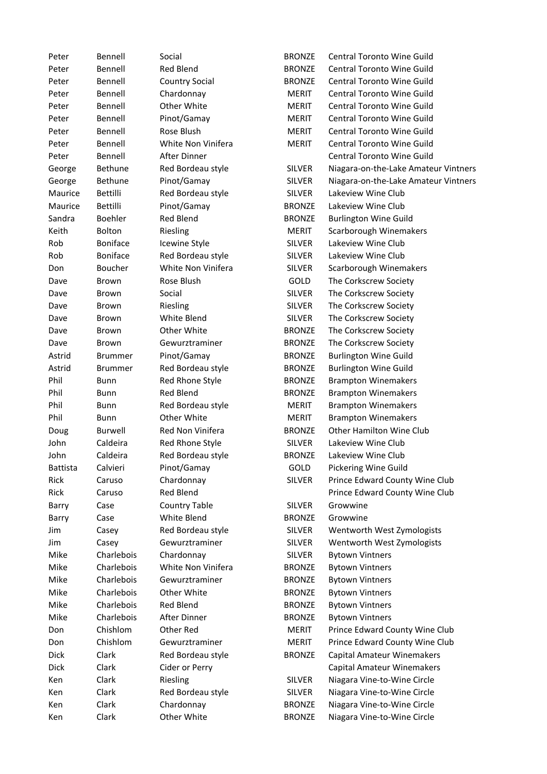| Peter           | Bennell         | Social                           | <b>BRONZE</b> | Central Toronto Wine Guild           |
|-----------------|-----------------|----------------------------------|---------------|--------------------------------------|
| Peter           | Bennell         | <b>Red Blend</b>                 | <b>BRONZE</b> | Central Toronto Wine Guild           |
| Peter           | Bennell         | <b>Country Social</b>            | <b>BRONZE</b> | <b>Central Toronto Wine Guild</b>    |
| Peter           | Bennell         | Chardonnay                       | <b>MERIT</b>  | Central Toronto Wine Guild           |
| Peter           | Bennell         | Other White                      | MERIT         | <b>Central Toronto Wine Guild</b>    |
| Peter           | Bennell         | Pinot/Gamay                      | <b>MERIT</b>  | <b>Central Toronto Wine Guild</b>    |
| Peter           | Bennell         | Rose Blush                       | <b>MERIT</b>  | Central Toronto Wine Guild           |
| Peter           | Bennell         | White Non Vinifera               | <b>MERIT</b>  | Central Toronto Wine Guild           |
| Peter           | Bennell         | After Dinner                     |               | Central Toronto Wine Guild           |
| George          | <b>Bethune</b>  | Red Bordeau style                | <b>SILVER</b> | Niagara-on-the-Lake Amateur Vintners |
| George          | Bethune         | Pinot/Gamay                      | <b>SILVER</b> | Niagara-on-the-Lake Amateur Vintners |
| Maurice         | Bettilli        | Red Bordeau style                | <b>SILVER</b> | Lakeview Wine Club                   |
| Maurice         | Bettilli        | Pinot/Gamay                      | <b>BRONZE</b> | Lakeview Wine Club                   |
| Sandra          | <b>Boehler</b>  | Red Blend                        | <b>BRONZE</b> | <b>Burlington Wine Guild</b>         |
| Keith           | Bolton          | Riesling                         | <b>MERIT</b>  | Scarborough Winemakers               |
| Rob             | <b>Boniface</b> | <b>Icewine Style</b>             | <b>SILVER</b> | Lakeview Wine Club                   |
| Rob             | <b>Boniface</b> | Red Bordeau style                | <b>SILVER</b> | Lakeview Wine Club                   |
| Don             | Boucher         | White Non Vinifera               | <b>SILVER</b> | Scarborough Winemakers               |
| Dave            | Brown           | Rose Blush                       | GOLD          | The Corkscrew Society                |
| Dave            | Brown           | Social                           | <b>SILVER</b> | The Corkscrew Society                |
| Dave            | Brown           | Riesling                         | <b>SILVER</b> | The Corkscrew Society                |
| Dave            | Brown           | White Blend                      | <b>SILVER</b> | The Corkscrew Society                |
| Dave            | Brown           | Other White                      | <b>BRONZE</b> | The Corkscrew Society                |
| Dave            | Brown           | Gewurztraminer                   | <b>BRONZE</b> | The Corkscrew Society                |
| Astrid          | <b>Brummer</b>  | Pinot/Gamay                      | <b>BRONZE</b> | <b>Burlington Wine Guild</b>         |
| Astrid          | <b>Brummer</b>  | Red Bordeau style                | <b>BRONZE</b> | <b>Burlington Wine Guild</b>         |
| Phil            | <b>Bunn</b>     | Red Rhone Style                  | <b>BRONZE</b> |                                      |
| Phil            |                 | Red Blend                        | <b>BRONZE</b> | <b>Brampton Winemakers</b>           |
| Phil            | Bunn            |                                  |               | <b>Brampton Winemakers</b>           |
| Phil            | <b>Bunn</b>     | Red Bordeau style<br>Other White | <b>MERIT</b>  | <b>Brampton Winemakers</b>           |
|                 | <b>Bunn</b>     | Red Non Vinifera                 | <b>MERIT</b>  | <b>Brampton Winemakers</b>           |
| Doug            | Burwell         |                                  | <b>BRONZE</b> | Other Hamilton Wine Club             |
| John            | Caldeira        | Red Rhone Style                  | <b>SILVER</b> | Lakeview Wine Club                   |
| John            | Caldeira        | Red Bordeau style                | <b>BRONZE</b> | Lakeview Wine Club                   |
| <b>Battista</b> | Calvieri        | Pinot/Gamay                      | GOLD          | Pickering Wine Guild                 |
| Rick            | Caruso          | Chardonnay                       | <b>SILVER</b> | Prince Edward County Wine Club       |
| Rick            | Caruso          | <b>Red Blend</b>                 |               | Prince Edward County Wine Club       |
| Barry           | Case            | <b>Country Table</b>             | <b>SILVER</b> | Growwine                             |
| Barry           | Case            | White Blend                      | <b>BRONZE</b> | Growwine                             |
| Jim             | Casey           | Red Bordeau style                | <b>SILVER</b> | Wentworth West Zymologists           |
| Jim             | Casey           | Gewurztraminer                   | <b>SILVER</b> | Wentworth West Zymologists           |
| Mike            | Charlebois      | Chardonnay                       | <b>SILVER</b> | <b>Bytown Vintners</b>               |
| Mike            | Charlebois      | White Non Vinifera               | <b>BRONZE</b> | <b>Bytown Vintners</b>               |
| Mike            | Charlebois      | Gewurztraminer                   | <b>BRONZE</b> | <b>Bytown Vintners</b>               |
| Mike            | Charlebois      | Other White                      | <b>BRONZE</b> | <b>Bytown Vintners</b>               |
| Mike            | Charlebois      | <b>Red Blend</b>                 | <b>BRONZE</b> | <b>Bytown Vintners</b>               |
| Mike            | Charlebois      | After Dinner                     | <b>BRONZE</b> | <b>Bytown Vintners</b>               |
| Don             | Chishlom        | Other Red                        | <b>MERIT</b>  | Prince Edward County Wine Club       |
| Don             | Chishlom        | Gewurztraminer                   | <b>MERIT</b>  | Prince Edward County Wine Club       |
| Dick            | Clark           | Red Bordeau style                | <b>BRONZE</b> | Capital Amateur Winemakers           |
| <b>Dick</b>     | Clark           | Cider or Perry                   |               | Capital Amateur Winemakers           |
| Ken             | Clark           | Riesling                         | <b>SILVER</b> | Niagara Vine-to-Wine Circle          |
| Ken             | Clark           | Red Bordeau style                | <b>SILVER</b> | Niagara Vine-to-Wine Circle          |
| Ken             | Clark           | Chardonnay                       | <b>BRONZE</b> | Niagara Vine-to-Wine Circle          |
| Ken             | Clark           | Other White                      | <b>BRONZE</b> | Niagara Vine-to-Wine Circle          |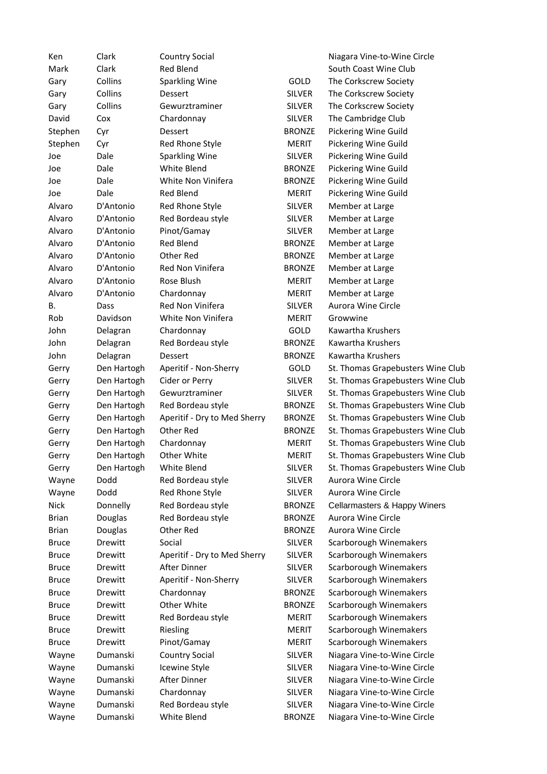| Ken          | Clark       | <b>Country Social</b>        |               | Niagara Vine-to-Wine Circle       |
|--------------|-------------|------------------------------|---------------|-----------------------------------|
| Mark         | Clark       | <b>Red Blend</b>             |               | South Coast Wine Club             |
| Gary         | Collins     | <b>Sparkling Wine</b>        | GOLD          | The Corkscrew Society             |
| Gary         | Collins     | Dessert                      | <b>SILVER</b> | The Corkscrew Society             |
| Gary         | Collins     | Gewurztraminer               | <b>SILVER</b> | The Corkscrew Society             |
| David        | Cox         | Chardonnay                   | <b>SILVER</b> | The Cambridge Club                |
| Stephen      | Cyr         | Dessert                      | <b>BRONZE</b> | Pickering Wine Guild              |
| Stephen      | Cyr         | Red Rhone Style              | <b>MERIT</b>  | Pickering Wine Guild              |
| Joe          | Dale        | Sparkling Wine               | <b>SILVER</b> | Pickering Wine Guild              |
| Joe          | Dale        | White Blend                  | <b>BRONZE</b> | Pickering Wine Guild              |
| Joe          | Dale        | White Non Vinifera           | <b>BRONZE</b> | Pickering Wine Guild              |
| Joe          | Dale        | <b>Red Blend</b>             | MERIT         | Pickering Wine Guild              |
| Alvaro       | D'Antonio   | Red Rhone Style              | <b>SILVER</b> | Member at Large                   |
| Alvaro       | D'Antonio   | Red Bordeau style            | <b>SILVER</b> | Member at Large                   |
| Alvaro       | D'Antonio   | Pinot/Gamay                  | <b>SILVER</b> | Member at Large                   |
| Alvaro       | D'Antonio   | <b>Red Blend</b>             | <b>BRONZE</b> | Member at Large                   |
| Alvaro       | D'Antonio   | Other Red                    | <b>BRONZE</b> | Member at Large                   |
| Alvaro       | D'Antonio   | Red Non Vinifera             | <b>BRONZE</b> | Member at Large                   |
| Alvaro       | D'Antonio   | Rose Blush                   | MERIT         | Member at Large                   |
| Alvaro       | D'Antonio   | Chardonnay                   | <b>MERIT</b>  | Member at Large                   |
| В.           | Dass        | Red Non Vinifera             | <b>SILVER</b> | Aurora Wine Circle                |
| Rob          | Davidson    | White Non Vinifera           | <b>MERIT</b>  | Growwine                          |
| John         |             | Chardonnay                   | GOLD          | Kawartha Krushers                 |
| John         | Delagran    |                              | <b>BRONZE</b> | Kawartha Krushers                 |
|              | Delagran    | Red Bordeau style            |               |                                   |
| John         | Delagran    | Dessert                      | <b>BRONZE</b> | Kawartha Krushers                 |
| Gerry        | Den Hartogh | Aperitif - Non-Sherry        | GOLD          | St. Thomas Grapebusters Wine Club |
| Gerry        | Den Hartogh | Cider or Perry               | <b>SILVER</b> | St. Thomas Grapebusters Wine Club |
| Gerry        | Den Hartogh | Gewurztraminer               | <b>SILVER</b> | St. Thomas Grapebusters Wine Club |
| Gerry        | Den Hartogh | Red Bordeau style            | <b>BRONZE</b> | St. Thomas Grapebusters Wine Club |
| Gerry        | Den Hartogh | Aperitif - Dry to Med Sherry | <b>BRONZE</b> | St. Thomas Grapebusters Wine Club |
| Gerry        | Den Hartogh | Other Red                    | <b>BRONZE</b> | St. Thomas Grapebusters Wine Club |
| Gerry        | Den Hartogh | Chardonnay                   | <b>MERIT</b>  | St. Thomas Grapebusters Wine Club |
| Gerry        | Den Hartogh | Other White                  | <b>MERIT</b>  | St. Thomas Grapebusters Wine Club |
| Gerry        | Den Hartogh | White Blend                  | <b>SILVER</b> | St. Thomas Grapebusters Wine Club |
| Wayne        | Dodd        | Red Bordeau style            | <b>SILVER</b> | Aurora Wine Circle                |
| Wayne        | Dodd        | Red Rhone Style              | <b>SILVER</b> | Aurora Wine Circle                |
| <b>Nick</b>  | Donnelly    | Red Bordeau style            | <b>BRONZE</b> | Cellarmasters & Happy Winers      |
| <b>Brian</b> | Douglas     | Red Bordeau style            | <b>BRONZE</b> | Aurora Wine Circle                |
| <b>Brian</b> | Douglas     | Other Red                    | <b>BRONZE</b> | Aurora Wine Circle                |
| <b>Bruce</b> | Drewitt     | Social                       | <b>SILVER</b> | Scarborough Winemakers            |
| <b>Bruce</b> | Drewitt     | Aperitif - Dry to Med Sherry | <b>SILVER</b> | Scarborough Winemakers            |
| <b>Bruce</b> | Drewitt     | After Dinner                 | <b>SILVER</b> | Scarborough Winemakers            |
| <b>Bruce</b> | Drewitt     | Aperitif - Non-Sherry        | <b>SILVER</b> | Scarborough Winemakers            |
| <b>Bruce</b> | Drewitt     | Chardonnay                   | <b>BRONZE</b> | Scarborough Winemakers            |
| <b>Bruce</b> | Drewitt     | Other White                  | <b>BRONZE</b> | Scarborough Winemakers            |
| <b>Bruce</b> | Drewitt     | Red Bordeau style            | <b>MERIT</b>  | Scarborough Winemakers            |
| <b>Bruce</b> | Drewitt     | Riesling                     | <b>MERIT</b>  | Scarborough Winemakers            |
| <b>Bruce</b> | Drewitt     | Pinot/Gamay                  | MERIT         | Scarborough Winemakers            |
| Wayne        | Dumanski    | Country Social               | <b>SILVER</b> | Niagara Vine-to-Wine Circle       |
| Wayne        | Dumanski    | Icewine Style                | <b>SILVER</b> | Niagara Vine-to-Wine Circle       |
| Wayne        | Dumanski    | After Dinner                 | <b>SILVER</b> | Niagara Vine-to-Wine Circle       |
| Wayne        | Dumanski    | Chardonnay                   | <b>SILVER</b> | Niagara Vine-to-Wine Circle       |
| Wayne        | Dumanski    | Red Bordeau style            | <b>SILVER</b> | Niagara Vine-to-Wine Circle       |
| Wayne        | Dumanski    | White Blend                  | <b>BRONZE</b> | Niagara Vine-to-Wine Circle       |
|              |             |                              |               |                                   |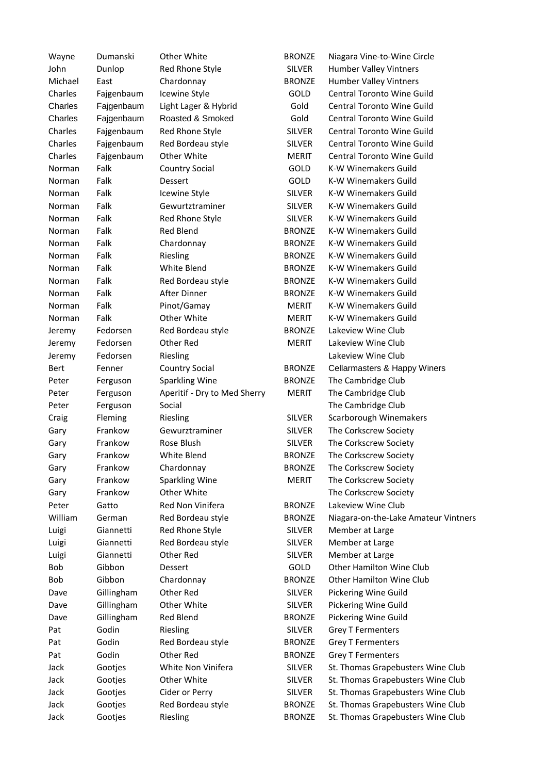| Wayne   | Dumanski   | Other White                       | <b>BRONZE</b> | Niagara Vine-to-Wine Circle          |
|---------|------------|-----------------------------------|---------------|--------------------------------------|
| John    | Dunlop     | Red Rhone Style                   | <b>SILVER</b> | <b>Humber Valley Vintners</b>        |
| Michael | East       | Chardonnay                        | <b>BRONZE</b> | <b>Humber Valley Vintners</b>        |
| Charles | Fajgenbaum | Icewine Style                     | GOLD          | Central Toronto Wine Guild           |
| Charles | Fajgenbaum | Light Lager & Hybrid              | Gold          | Central Toronto Wine Guild           |
| Charles | Fajgenbaum | Roasted & Smoked                  | Gold          | Central Toronto Wine Guild           |
| Charles | Fajgenbaum | Red Rhone Style                   | <b>SILVER</b> | Central Toronto Wine Guild           |
| Charles | Fajgenbaum | Red Bordeau style                 | <b>SILVER</b> | Central Toronto Wine Guild           |
| Charles | Fajgenbaum | Other White                       | <b>MERIT</b>  | Central Toronto Wine Guild           |
| Norman  | Falk       | <b>Country Social</b>             | GOLD          | <b>K-W Winemakers Guild</b>          |
| Norman  | Falk       | Dessert                           | GOLD          | <b>K-W Winemakers Guild</b>          |
| Norman  | Falk       | Icewine Style                     | <b>SILVER</b> | K-W Winemakers Guild                 |
| Norman  | Falk       | Gewurtztraminer                   | <b>SILVER</b> | K-W Winemakers Guild                 |
| Norman  | Falk       | Red Rhone Style                   | <b>SILVER</b> | K-W Winemakers Guild                 |
| Norman  | Falk       | <b>Red Blend</b>                  | <b>BRONZE</b> | K-W Winemakers Guild                 |
| Norman  | Falk       | Chardonnay                        | <b>BRONZE</b> | K-W Winemakers Guild                 |
| Norman  | Falk       | Riesling                          | <b>BRONZE</b> | <b>K-W Winemakers Guild</b>          |
| Norman  | Falk       | White Blend                       | <b>BRONZE</b> | <b>K-W Winemakers Guild</b>          |
|         | Falk       |                                   |               | <b>K-W Winemakers Guild</b>          |
| Norman  |            | Red Bordeau style<br>After Dinner | <b>BRONZE</b> |                                      |
| Norman  | Falk       |                                   | <b>BRONZE</b> | K-W Winemakers Guild                 |
| Norman  | Falk       | Pinot/Gamay                       | <b>MERIT</b>  | <b>K-W Winemakers Guild</b>          |
| Norman  | Falk       | Other White                       | <b>MERIT</b>  | <b>K-W Winemakers Guild</b>          |
| Jeremy  | Fedorsen   | Red Bordeau style                 | <b>BRONZE</b> | Lakeview Wine Club                   |
| Jeremy  | Fedorsen   | Other Red                         | <b>MERIT</b>  | Lakeview Wine Club                   |
| Jeremy  | Fedorsen   | Riesling                          |               | Lakeview Wine Club                   |
| Bert    | Fenner     | <b>Country Social</b>             | <b>BRONZE</b> | Cellarmasters & Happy Winers         |
| Peter   | Ferguson   | <b>Sparkling Wine</b>             | <b>BRONZE</b> | The Cambridge Club                   |
| Peter   | Ferguson   | Aperitif - Dry to Med Sherry      | <b>MERIT</b>  | The Cambridge Club                   |
| Peter   | Ferguson   | Social                            |               | The Cambridge Club                   |
| Craig   | Fleming    | Riesling                          | <b>SILVER</b> | Scarborough Winemakers               |
| Gary    | Frankow    | Gewurztraminer                    | <b>SILVER</b> | The Corkscrew Society                |
| Gary    | Frankow    | Rose Blush                        | <b>SILVER</b> | The Corkscrew Society                |
| Gary    | Frankow    | White Blend                       | <b>BRONZE</b> | The Corkscrew Society                |
| Gary    | Frankow    | Chardonnay                        | <b>BRONZE</b> | The Corkscrew Society                |
| Gary    | Frankow    | <b>Sparkling Wine</b>             | <b>MERIT</b>  | The Corkscrew Society                |
| Gary    | Frankow    | Other White                       |               | The Corkscrew Society                |
| Peter   | Gatto      | Red Non Vinifera                  | <b>BRONZE</b> | Lakeview Wine Club                   |
| William | German     | Red Bordeau style                 | <b>BRONZE</b> | Niagara-on-the-Lake Amateur Vintners |
| Luigi   | Giannetti  | Red Rhone Style                   | <b>SILVER</b> | Member at Large                      |
| Luigi   | Giannetti  | Red Bordeau style                 | <b>SILVER</b> | Member at Large                      |
| Luigi   | Giannetti  | Other Red                         | <b>SILVER</b> | Member at Large                      |
| Bob     | Gibbon     | Dessert                           | <b>GOLD</b>   | Other Hamilton Wine Club             |
| Bob     | Gibbon     | Chardonnay                        | <b>BRONZE</b> | Other Hamilton Wine Club             |
| Dave    | Gillingham | Other Red                         | <b>SILVER</b> | Pickering Wine Guild                 |
| Dave    | Gillingham | Other White                       | <b>SILVER</b> | Pickering Wine Guild                 |
|         |            |                                   |               |                                      |
| Dave    | Gillingham | Red Blend                         | <b>BRONZE</b> | Pickering Wine Guild                 |
| Pat     | Godin      | Riesling                          | <b>SILVER</b> | <b>Grey T Fermenters</b>             |
| Pat     | Godin      | Red Bordeau style                 | <b>BRONZE</b> | <b>Grey T Fermenters</b>             |
| Pat     | Godin      | Other Red                         | <b>BRONZE</b> | <b>Grey T Fermenters</b>             |
| Jack    | Gootjes    | White Non Vinifera                | <b>SILVER</b> | St. Thomas Grapebusters Wine Club    |
| Jack    | Gootjes    | Other White                       | <b>SILVER</b> | St. Thomas Grapebusters Wine Club    |
| Jack    | Gootjes    | Cider or Perry                    | <b>SILVER</b> | St. Thomas Grapebusters Wine Club    |
| Jack    | Gootjes    | Red Bordeau style                 | <b>BRONZE</b> | St. Thomas Grapebusters Wine Club    |
| Jack    | Gootjes    | Riesling                          | <b>BRONZE</b> | St. Thomas Grapebusters Wine Club    |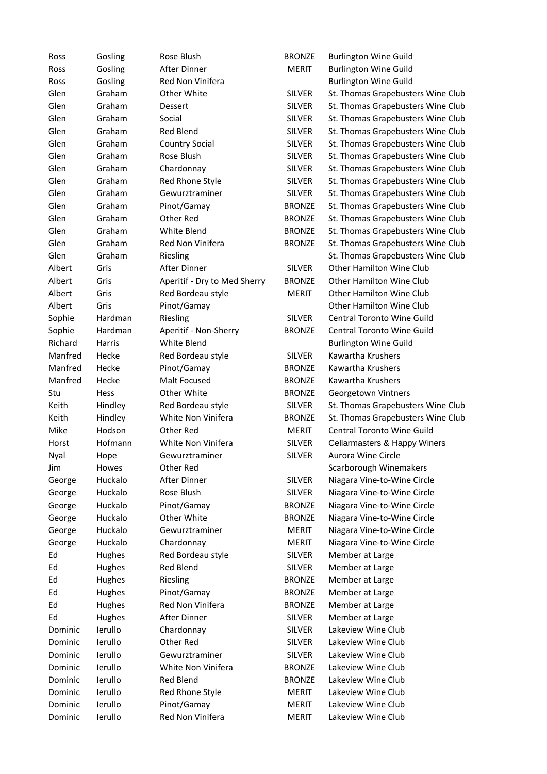| Ross    | Gosling       | Rose Blush                   | <b>BRONZE</b> | <b>Burlington Wine Guild</b>      |
|---------|---------------|------------------------------|---------------|-----------------------------------|
| Ross    | Gosling       | After Dinner                 | <b>MERIT</b>  | <b>Burlington Wine Guild</b>      |
| Ross    | Gosling       | Red Non Vinifera             |               | <b>Burlington Wine Guild</b>      |
| Glen    | Graham        | Other White                  | <b>SILVER</b> | St. Thomas Grapebusters Wine Club |
| Glen    | Graham        | Dessert                      | <b>SILVER</b> | St. Thomas Grapebusters Wine Club |
| Glen    | Graham        | Social                       | <b>SILVER</b> | St. Thomas Grapebusters Wine Club |
| Glen    | Graham        | Red Blend                    | <b>SILVER</b> | St. Thomas Grapebusters Wine Club |
| Glen    | Graham        | <b>Country Social</b>        | <b>SILVER</b> | St. Thomas Grapebusters Wine Club |
| Glen    | Graham        | Rose Blush                   | <b>SILVER</b> | St. Thomas Grapebusters Wine Club |
| Glen    | Graham        | Chardonnay                   | <b>SILVER</b> | St. Thomas Grapebusters Wine Club |
| Glen    | Graham        | Red Rhone Style              | <b>SILVER</b> | St. Thomas Grapebusters Wine Club |
| Glen    | Graham        | Gewurztraminer               | <b>SILVER</b> | St. Thomas Grapebusters Wine Club |
| Glen    | Graham        | Pinot/Gamay                  | <b>BRONZE</b> | St. Thomas Grapebusters Wine Club |
| Glen    | Graham        | Other Red                    | <b>BRONZE</b> | St. Thomas Grapebusters Wine Club |
| Glen    | Graham        | White Blend                  | <b>BRONZE</b> | St. Thomas Grapebusters Wine Club |
| Glen    | Graham        | Red Non Vinifera             | <b>BRONZE</b> | St. Thomas Grapebusters Wine Club |
| Glen    | Graham        | Riesling                     |               | St. Thomas Grapebusters Wine Club |
| Albert  | Gris          | After Dinner                 | <b>SILVER</b> | <b>Other Hamilton Wine Club</b>   |
| Albert  | Gris          | Aperitif - Dry to Med Sherry | <b>BRONZE</b> | Other Hamilton Wine Club          |
| Albert  | Gris          | Red Bordeau style            | <b>MERIT</b>  | <b>Other Hamilton Wine Club</b>   |
| Albert  | Gris          | Pinot/Gamay                  |               | <b>Other Hamilton Wine Club</b>   |
| Sophie  | Hardman       | Riesling                     | <b>SILVER</b> | Central Toronto Wine Guild        |
| Sophie  | Hardman       | Aperitif - Non-Sherry        | <b>BRONZE</b> | Central Toronto Wine Guild        |
| Richard | <b>Harris</b> | White Blend                  |               | <b>Burlington Wine Guild</b>      |
| Manfred | Hecke         | Red Bordeau style            | <b>SILVER</b> | Kawartha Krushers                 |
| Manfred | Hecke         | Pinot/Gamay                  | <b>BRONZE</b> | Kawartha Krushers                 |
| Manfred | Hecke         | Malt Focused                 | <b>BRONZE</b> | Kawartha Krushers                 |
| Stu     | Hess          | Other White                  | <b>BRONZE</b> | Georgetown Vintners               |
| Keith   | Hindley       | Red Bordeau style            | <b>SILVER</b> | St. Thomas Grapebusters Wine Club |
| Keith   | Hindley       | White Non Vinifera           | <b>BRONZE</b> | St. Thomas Grapebusters Wine Club |
| Mike    | Hodson        | Other Red                    | <b>MERIT</b>  | Central Toronto Wine Guild        |
| Horst   | Hofmann       | White Non Vinifera           | <b>SILVER</b> | Cellarmasters & Happy Winers      |
| Nyal    | Hope          | Gewurztraminer               | <b>SILVER</b> | Aurora Wine Circle                |
| Jim     | Howes         | Other Red                    |               | Scarborough Winemakers            |
| George  | Huckalo       | After Dinner                 | <b>SILVER</b> | Niagara Vine-to-Wine Circle       |
| George  | Huckalo       | Rose Blush                   | <b>SILVER</b> | Niagara Vine-to-Wine Circle       |
| George  | Huckalo       | Pinot/Gamay                  | <b>BRONZE</b> | Niagara Vine-to-Wine Circle       |
| George  | Huckalo       | Other White                  | <b>BRONZE</b> | Niagara Vine-to-Wine Circle       |
| George  | Huckalo       | Gewurztraminer               | <b>MERIT</b>  | Niagara Vine-to-Wine Circle       |
| George  | Huckalo       | Chardonnay                   | <b>MERIT</b>  | Niagara Vine-to-Wine Circle       |
| Ed      | Hughes        | Red Bordeau style            | <b>SILVER</b> | Member at Large                   |
| Ed      | Hughes        | <b>Red Blend</b>             | <b>SILVER</b> | Member at Large                   |
| Ed      | Hughes        | Riesling                     | <b>BRONZE</b> | Member at Large                   |
| Ed      | Hughes        | Pinot/Gamay                  | <b>BRONZE</b> | Member at Large                   |
| Ed      | Hughes        | Red Non Vinifera             | <b>BRONZE</b> | Member at Large                   |
| Ed      | Hughes        | After Dinner                 | <b>SILVER</b> | Member at Large                   |
| Dominic | lerullo       | Chardonnay                   | <b>SILVER</b> | Lakeview Wine Club                |
| Dominic | lerullo       | Other Red                    | <b>SILVER</b> | Lakeview Wine Club                |
| Dominic | lerullo       | Gewurztraminer               | <b>SILVER</b> | Lakeview Wine Club                |
| Dominic | lerullo       | White Non Vinifera           | <b>BRONZE</b> | Lakeview Wine Club                |
| Dominic | lerullo       | <b>Red Blend</b>             | <b>BRONZE</b> | Lakeview Wine Club                |
| Dominic | lerullo       | Red Rhone Style              | <b>MERIT</b>  | Lakeview Wine Club                |
| Dominic | lerullo       | Pinot/Gamay                  | <b>MERIT</b>  | Lakeview Wine Club                |
| Dominic | lerullo       | Red Non Vinifera             | <b>MERIT</b>  | Lakeview Wine Club                |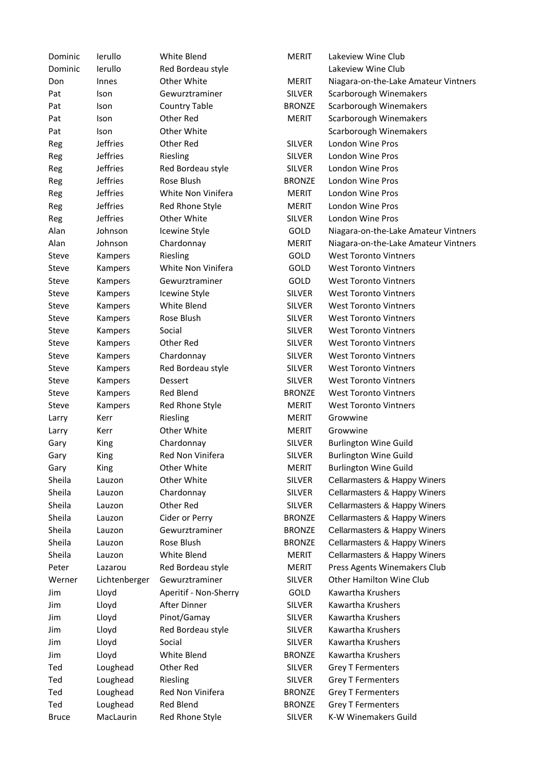| Dominic      | lerullo         | White Blend           | <b>MERIT</b>  | Lakeview Wine Club                   |
|--------------|-----------------|-----------------------|---------------|--------------------------------------|
| Dominic      | lerullo         | Red Bordeau style     |               | Lakeview Wine Club                   |
| Don          | Innes           | Other White           | <b>MERIT</b>  | Niagara-on-the-Lake Amateur Vintners |
| Pat          | Ison            | Gewurztraminer        | <b>SILVER</b> | Scarborough Winemakers               |
| Pat          | Ison            | <b>Country Table</b>  | <b>BRONZE</b> | Scarborough Winemakers               |
| Pat          | Ison            | Other Red             | <b>MERIT</b>  | Scarborough Winemakers               |
| Pat          | Ison            | Other White           |               | Scarborough Winemakers               |
| Reg          | Jeffries        | Other Red             | <b>SILVER</b> | London Wine Pros                     |
| Reg          | <b>Jeffries</b> | Riesling              | <b>SILVER</b> | London Wine Pros                     |
| Reg          | <b>Jeffries</b> | Red Bordeau style     | <b>SILVER</b> | London Wine Pros                     |
| Reg          | <b>Jeffries</b> | Rose Blush            | <b>BRONZE</b> | London Wine Pros                     |
| Reg          | <b>Jeffries</b> | White Non Vinifera    | <b>MERIT</b>  | London Wine Pros                     |
| Reg          | <b>Jeffries</b> | Red Rhone Style       | <b>MERIT</b>  | London Wine Pros                     |
| Reg          | <b>Jeffries</b> | Other White           | <b>SILVER</b> | London Wine Pros                     |
| Alan         | Johnson         | Icewine Style         | GOLD          | Niagara-on-the-Lake Amateur Vintners |
| Alan         | Johnson         | Chardonnay            | <b>MERIT</b>  | Niagara-on-the-Lake Amateur Vintners |
| <b>Steve</b> | Kampers         | Riesling              | <b>GOLD</b>   | <b>West Toronto Vintners</b>         |
| Steve        | Kampers         | White Non Vinifera    | GOLD          | <b>West Toronto Vintners</b>         |
| Steve        | Kampers         | Gewurztraminer        | GOLD          | <b>West Toronto Vintners</b>         |
| Steve        | Kampers         | Icewine Style         | <b>SILVER</b> | <b>West Toronto Vintners</b>         |
| Steve        | Kampers         | White Blend           | <b>SILVER</b> | <b>West Toronto Vintners</b>         |
| Steve        | Kampers         | Rose Blush            | <b>SILVER</b> | <b>West Toronto Vintners</b>         |
| Steve        | Kampers         | Social                | <b>SILVER</b> | <b>West Toronto Vintners</b>         |
| Steve        | Kampers         | Other Red             | <b>SILVER</b> | <b>West Toronto Vintners</b>         |
| Steve        | Kampers         | Chardonnay            | <b>SILVER</b> | <b>West Toronto Vintners</b>         |
| Steve        | Kampers         | Red Bordeau style     | <b>SILVER</b> | <b>West Toronto Vintners</b>         |
| Steve        | Kampers         | Dessert               | <b>SILVER</b> | <b>West Toronto Vintners</b>         |
| Steve        | Kampers         | Red Blend             | <b>BRONZE</b> | <b>West Toronto Vintners</b>         |
| Steve        | Kampers         | Red Rhone Style       | <b>MERIT</b>  | <b>West Toronto Vintners</b>         |
| Larry        | Kerr            | Riesling              | <b>MERIT</b>  | Growwine                             |
| Larry        | Kerr            | Other White           | <b>MERIT</b>  | Growwine                             |
| Gary         | King            | Chardonnay            | <b>SILVER</b> | <b>Burlington Wine Guild</b>         |
| Gary         | King            | Red Non Vinifera      | <b>SILVER</b> | <b>Burlington Wine Guild</b>         |
| Gary         | King            | Other White           | <b>MERIT</b>  | <b>Burlington Wine Guild</b>         |
| Sheila       | Lauzon          | Other White           | <b>SILVER</b> | Cellarmasters & Happy Winers         |
| Sheila       | Lauzon          | Chardonnay            | <b>SILVER</b> | Cellarmasters & Happy Winers         |
| Sheila       | Lauzon          | Other Red             | <b>SILVER</b> | Cellarmasters & Happy Winers         |
| Sheila       | Lauzon          | Cider or Perry        | <b>BRONZE</b> | Cellarmasters & Happy Winers         |
| Sheila       | Lauzon          | Gewurztraminer        | <b>BRONZE</b> | Cellarmasters & Happy Winers         |
| Sheila       | Lauzon          | Rose Blush            | <b>BRONZE</b> | Cellarmasters & Happy Winers         |
| Sheila       | Lauzon          | White Blend           | <b>MERIT</b>  | Cellarmasters & Happy Winers         |
| Peter        | Lazarou         | Red Bordeau style     | <b>MERIT</b>  | Press Agents Winemakers Club         |
| Werner       | Lichtenberger   | Gewurztraminer        | <b>SILVER</b> | Other Hamilton Wine Club             |
| Jim          | Lloyd           | Aperitif - Non-Sherry | <b>GOLD</b>   | Kawartha Krushers                    |
| Jim          | Lloyd           | After Dinner          | <b>SILVER</b> | Kawartha Krushers                    |
| Jim          | Lloyd           | Pinot/Gamay           | <b>SILVER</b> | Kawartha Krushers                    |
| Jim          | Lloyd           | Red Bordeau style     | <b>SILVER</b> | Kawartha Krushers                    |
| Jim          | Lloyd           | Social                | <b>SILVER</b> | Kawartha Krushers                    |
| Jim          | Lloyd           | White Blend           | <b>BRONZE</b> | Kawartha Krushers                    |
| Ted          | Loughead        | Other Red             | <b>SILVER</b> | <b>Grey T Fermenters</b>             |
| Ted          | Loughead        | Riesling              | <b>SILVER</b> | <b>Grey T Fermenters</b>             |
| Ted          | Loughead        | Red Non Vinifera      | <b>BRONZE</b> | <b>Grey T Fermenters</b>             |
| Ted          | Loughead        | Red Blend             | <b>BRONZE</b> | <b>Grey T Fermenters</b>             |
| <b>Bruce</b> | MacLaurin       | Red Rhone Style       | <b>SILVER</b> | K-W Winemakers Guild                 |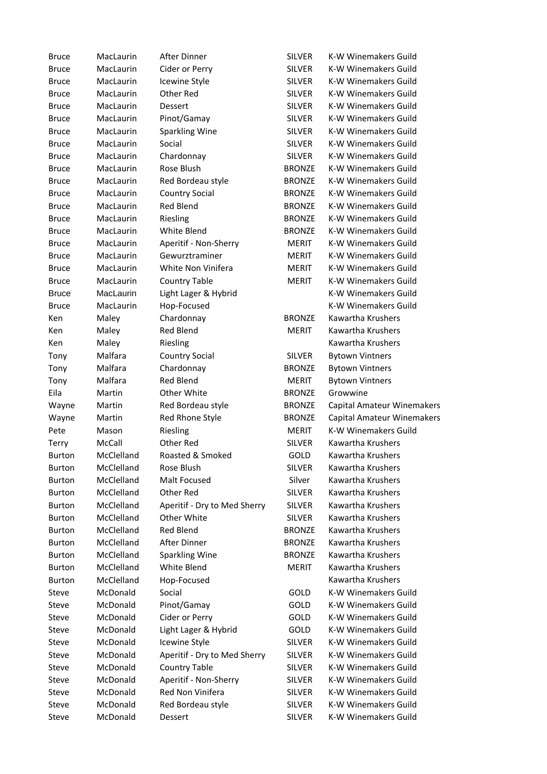| <b>Bruce</b>  | MacLaurin  | After Dinner                 | <b>SILVER</b> | K-W Winemakers Guild        |
|---------------|------------|------------------------------|---------------|-----------------------------|
| <b>Bruce</b>  | MacLaurin  | Cider or Perry               | <b>SILVER</b> | K-W Winemakers Guild        |
| <b>Bruce</b>  | MacLaurin  | Icewine Style                | <b>SILVER</b> | K-W Winemakers Guild        |
| <b>Bruce</b>  | MacLaurin  | Other Red                    | <b>SILVER</b> | K-W Winemakers Guild        |
| <b>Bruce</b>  | MacLaurin  | Dessert                      | <b>SILVER</b> | K-W Winemakers Guild        |
| <b>Bruce</b>  | MacLaurin  | Pinot/Gamay                  | <b>SILVER</b> | <b>K-W Winemakers Guild</b> |
| <b>Bruce</b>  | MacLaurin  | <b>Sparkling Wine</b>        | <b>SILVER</b> | K-W Winemakers Guild        |
| <b>Bruce</b>  | MacLaurin  | Social                       | <b>SILVER</b> | K-W Winemakers Guild        |
| <b>Bruce</b>  | MacLaurin  | Chardonnay                   | <b>SILVER</b> | K-W Winemakers Guild        |
| <b>Bruce</b>  | MacLaurin  | Rose Blush                   | <b>BRONZE</b> | <b>K-W Winemakers Guild</b> |
| <b>Bruce</b>  | MacLaurin  | Red Bordeau style            | <b>BRONZE</b> | K-W Winemakers Guild        |
| <b>Bruce</b>  | MacLaurin  | <b>Country Social</b>        | <b>BRONZE</b> | K-W Winemakers Guild        |
| <b>Bruce</b>  | MacLaurin  | <b>Red Blend</b>             | <b>BRONZE</b> | K-W Winemakers Guild        |
| <b>Bruce</b>  | MacLaurin  | Riesling                     | <b>BRONZE</b> | K-W Winemakers Guild        |
| <b>Bruce</b>  | MacLaurin  | White Blend                  | <b>BRONZE</b> | K-W Winemakers Guild        |
| <b>Bruce</b>  | MacLaurin  | Aperitif - Non-Sherry        | <b>MERIT</b>  | K-W Winemakers Guild        |
| <b>Bruce</b>  | MacLaurin  | Gewurztraminer               | MERIT         | K-W Winemakers Guild        |
| <b>Bruce</b>  | MacLaurin  | White Non Vinifera           | <b>MERIT</b>  | K-W Winemakers Guild        |
| <b>Bruce</b>  | MacLaurin  | <b>Country Table</b>         | <b>MERIT</b>  | K-W Winemakers Guild        |
| <b>Bruce</b>  | MacLaurin  | Light Lager & Hybrid         |               | K-W Winemakers Guild        |
| <b>Bruce</b>  | MacLaurin  | Hop-Focused                  |               | K-W Winemakers Guild        |
| Ken           | Maley      | Chardonnay                   | <b>BRONZE</b> | Kawartha Krushers           |
| Ken           | Maley      | Red Blend                    | <b>MERIT</b>  | Kawartha Krushers           |
| Ken           | Maley      | Riesling                     |               | Kawartha Krushers           |
| Tony          | Malfara    | Country Social               | <b>SILVER</b> | <b>Bytown Vintners</b>      |
| Tony          | Malfara    | Chardonnay                   | <b>BRONZE</b> | <b>Bytown Vintners</b>      |
| Tony          | Malfara    | <b>Red Blend</b>             | <b>MERIT</b>  | <b>Bytown Vintners</b>      |
| Eila          | Martin     | Other White                  | <b>BRONZE</b> | Growwine                    |
| Wayne         | Martin     | Red Bordeau style            | <b>BRONZE</b> | Capital Amateur Winemakers  |
| Wayne         | Martin     | Red Rhone Style              | <b>BRONZE</b> | Capital Amateur Winemakers  |
| Pete          | Mason      | Riesling                     | <b>MERIT</b>  | <b>K-W Winemakers Guild</b> |
| <b>Terry</b>  | McCall     | Other Red                    | <b>SILVER</b> | Kawartha Krushers           |
| <b>Burton</b> | McClelland | Roasted & Smoked             | GOLD          | Kawartha Krushers           |
| <b>Burton</b> | McClelland | Rose Blush                   | SILVER        | Kawartha Krushers           |
| <b>Burton</b> | McClelland | Malt Focused                 | Silver        | Kawartha Krushers           |
| <b>Burton</b> | McClelland | Other Red                    | <b>SILVER</b> | Kawartha Krushers           |
| <b>Burton</b> | McClelland | Aperitif - Dry to Med Sherry | <b>SILVER</b> | Kawartha Krushers           |
| <b>Burton</b> | McClelland | Other White                  | <b>SILVER</b> | Kawartha Krushers           |
| <b>Burton</b> | McClelland | <b>Red Blend</b>             | <b>BRONZE</b> | Kawartha Krushers           |
| <b>Burton</b> | McClelland | After Dinner                 | <b>BRONZE</b> | Kawartha Krushers           |
| <b>Burton</b> | McClelland | <b>Sparkling Wine</b>        | <b>BRONZE</b> | Kawartha Krushers           |
| <b>Burton</b> | McClelland | White Blend                  | <b>MERIT</b>  | Kawartha Krushers           |
| <b>Burton</b> | McClelland | Hop-Focused                  |               | Kawartha Krushers           |
| Steve         | McDonald   | Social                       | GOLD          | K-W Winemakers Guild        |
| <b>Steve</b>  | McDonald   | Pinot/Gamay                  | GOLD          | K-W Winemakers Guild        |
| <b>Steve</b>  | McDonald   | Cider or Perry               | GOLD          | <b>K-W Winemakers Guild</b> |
| Steve         | McDonald   | Light Lager & Hybrid         | GOLD          | K-W Winemakers Guild        |
| Steve         | McDonald   | Icewine Style                | <b>SILVER</b> | <b>K-W Winemakers Guild</b> |
| Steve         | McDonald   | Aperitif - Dry to Med Sherry | <b>SILVER</b> | K-W Winemakers Guild        |
| Steve         | McDonald   | <b>Country Table</b>         | <b>SILVER</b> | K-W Winemakers Guild        |
| Steve         | McDonald   | Aperitif - Non-Sherry        | <b>SILVER</b> | K-W Winemakers Guild        |
| Steve         | McDonald   | Red Non Vinifera             | <b>SILVER</b> | K-W Winemakers Guild        |
| Steve         | McDonald   | Red Bordeau style            | <b>SILVER</b> | K-W Winemakers Guild        |
| Steve         | McDonald   | Dessert                      | <b>SILVER</b> | K-W Winemakers Guild        |
|               |            |                              |               |                             |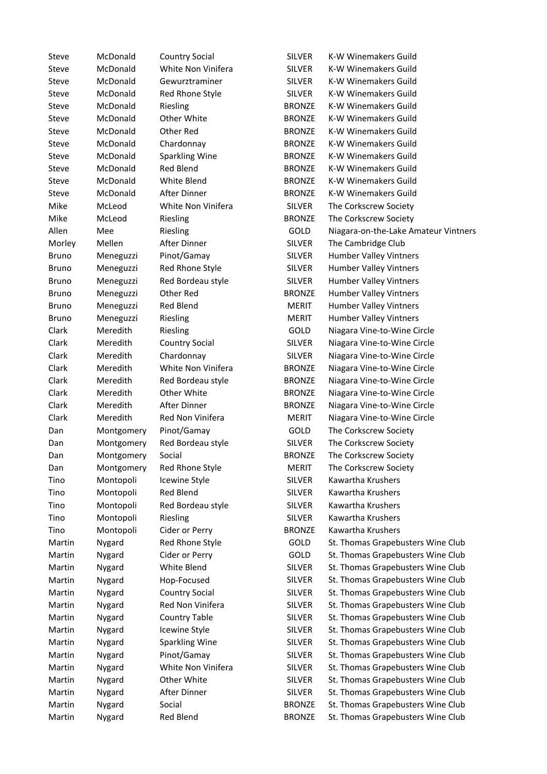| <b>Steve</b> | McDonald   | <b>Country Social</b> | <b>SILVER</b> | K-W Winemakers Guild                 |
|--------------|------------|-----------------------|---------------|--------------------------------------|
| Steve        | McDonald   | White Non Vinifera    | <b>SILVER</b> | K-W Winemakers Guild                 |
| Steve        | McDonald   | Gewurztraminer        | <b>SILVER</b> | K-W Winemakers Guild                 |
| Steve        | McDonald   | Red Rhone Style       | <b>SILVER</b> | K-W Winemakers Guild                 |
| Steve        | McDonald   | Riesling              | <b>BRONZE</b> | K-W Winemakers Guild                 |
| Steve        | McDonald   | Other White           | <b>BRONZE</b> | K-W Winemakers Guild                 |
| Steve        | McDonald   | Other Red             | <b>BRONZE</b> | K-W Winemakers Guild                 |
| Steve        | McDonald   | Chardonnay            | <b>BRONZE</b> | K-W Winemakers Guild                 |
| Steve        | McDonald   | <b>Sparkling Wine</b> | <b>BRONZE</b> | K-W Winemakers Guild                 |
| Steve        | McDonald   | <b>Red Blend</b>      | <b>BRONZE</b> | K-W Winemakers Guild                 |
| Steve        | McDonald   | White Blend           | <b>BRONZE</b> | K-W Winemakers Guild                 |
| Steve        | McDonald   | After Dinner          | <b>BRONZE</b> | K-W Winemakers Guild                 |
| Mike         | McLeod     | White Non Vinifera    | <b>SILVER</b> | The Corkscrew Society                |
| Mike         | McLeod     | Riesling              | <b>BRONZE</b> | The Corkscrew Society                |
| Allen        | Mee        | Riesling              | GOLD          | Niagara-on-the-Lake Amateur Vintners |
| Morley       | Mellen     | After Dinner          | <b>SILVER</b> | The Cambridge Club                   |
| <b>Bruno</b> | Meneguzzi  | Pinot/Gamay           | <b>SILVER</b> | <b>Humber Valley Vintners</b>        |
| <b>Bruno</b> | Meneguzzi  | Red Rhone Style       | <b>SILVER</b> | <b>Humber Valley Vintners</b>        |
| <b>Bruno</b> | Meneguzzi  | Red Bordeau style     | <b>SILVER</b> | <b>Humber Valley Vintners</b>        |
| <b>Bruno</b> | Meneguzzi  | Other Red             | <b>BRONZE</b> | <b>Humber Valley Vintners</b>        |
| <b>Bruno</b> | Meneguzzi  | Red Blend             | <b>MERIT</b>  | <b>Humber Valley Vintners</b>        |
| <b>Bruno</b> | Meneguzzi  | Riesling              | <b>MERIT</b>  | <b>Humber Valley Vintners</b>        |
| Clark        | Meredith   | Riesling              | GOLD          | Niagara Vine-to-Wine Circle          |
| Clark        | Meredith   | <b>Country Social</b> | <b>SILVER</b> | Niagara Vine-to-Wine Circle          |
| Clark        | Meredith   | Chardonnay            | <b>SILVER</b> | Niagara Vine-to-Wine Circle          |
| Clark        | Meredith   | White Non Vinifera    | <b>BRONZE</b> | Niagara Vine-to-Wine Circle          |
| Clark        | Meredith   | Red Bordeau style     | <b>BRONZE</b> | Niagara Vine-to-Wine Circle          |
| Clark        | Meredith   | Other White           | <b>BRONZE</b> | Niagara Vine-to-Wine Circle          |
| Clark        | Meredith   | After Dinner          | <b>BRONZE</b> | Niagara Vine-to-Wine Circle          |
| Clark        | Meredith   | Red Non Vinifera      | <b>MERIT</b>  | Niagara Vine-to-Wine Circle          |
| Dan          |            | Pinot/Gamay           | GOLD          | The Corkscrew Society                |
|              | Montgomery | Red Bordeau style     | <b>SILVER</b> |                                      |
| Dan          | Montgomery |                       |               | The Corkscrew Society                |
| Dan          | Montgomery | Social                | <b>BRONZE</b> | The Corkscrew Society                |
| Dan          | Montgomery | Red Rhone Style       | <b>MERIT</b>  | The Corkscrew Society                |
| Tino         | Montopoli  | Icewine Style         | <b>SILVER</b> | Kawartha Krushers                    |
| Tino         | Montopoli  | Red Blend             | <b>SILVER</b> | Kawartha Krushers                    |
| Tino         | Montopoli  | Red Bordeau style     | <b>SILVER</b> | Kawartha Krushers                    |
| Tino         | Montopoli  | Riesling              | <b>SILVER</b> | Kawartha Krushers                    |
| Tino         | Montopoli  | Cider or Perry        | <b>BRONZE</b> | Kawartha Krushers                    |
| Martin       | Nygard     | Red Rhone Style       | GOLD          | St. Thomas Grapebusters Wine Club    |
| Martin       | Nygard     | Cider or Perry        | GOLD          | St. Thomas Grapebusters Wine Club    |
| Martin       | Nygard     | White Blend           | <b>SILVER</b> | St. Thomas Grapebusters Wine Club    |
| Martin       | Nygard     | Hop-Focused           | <b>SILVER</b> | St. Thomas Grapebusters Wine Club    |
| Martin       | Nygard     | Country Social        | <b>SILVER</b> | St. Thomas Grapebusters Wine Club    |
| Martin       | Nygard     | Red Non Vinifera      | <b>SILVER</b> | St. Thomas Grapebusters Wine Club    |
| Martin       | Nygard     | <b>Country Table</b>  | <b>SILVER</b> | St. Thomas Grapebusters Wine Club    |
| Martin       | Nygard     | Icewine Style         | <b>SILVER</b> | St. Thomas Grapebusters Wine Club    |
| Martin       | Nygard     | <b>Sparkling Wine</b> | <b>SILVER</b> | St. Thomas Grapebusters Wine Club    |
| Martin       | Nygard     | Pinot/Gamay           | <b>SILVER</b> | St. Thomas Grapebusters Wine Club    |
| Martin       | Nygard     | White Non Vinifera    | SILVER        | St. Thomas Grapebusters Wine Club    |
| Martin       | Nygard     | Other White           | <b>SILVER</b> | St. Thomas Grapebusters Wine Club    |
| Martin       | Nygard     | After Dinner          | <b>SILVER</b> | St. Thomas Grapebusters Wine Club    |
| Martin       | Nygard     | Social                | <b>BRONZE</b> | St. Thomas Grapebusters Wine Club    |
| Martin       | Nygard     | Red Blend             | <b>BRONZE</b> | St. Thomas Grapebusters Wine Club    |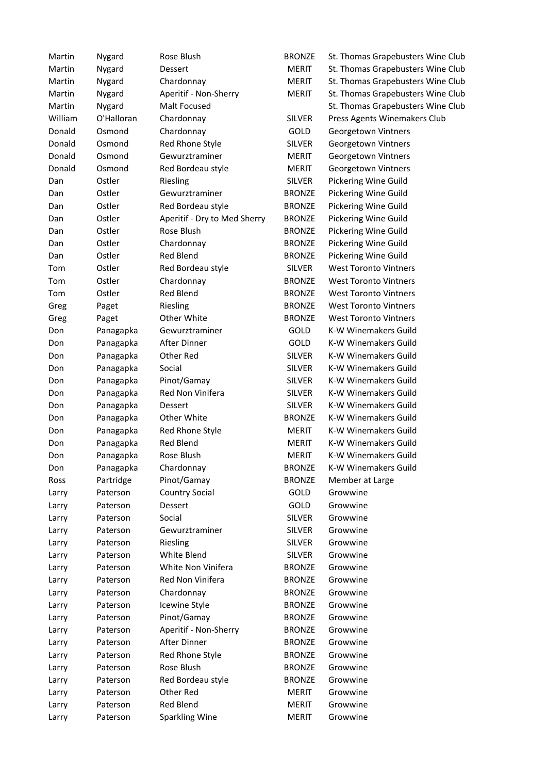| Martin  | Nygard     | Rose Blush                   | <b>BRONZE</b> | St. Thomas Grapebusters Wine Club |
|---------|------------|------------------------------|---------------|-----------------------------------|
| Martin  | Nygard     | Dessert                      | <b>MERIT</b>  | St. Thomas Grapebusters Wine Club |
| Martin  | Nygard     | Chardonnay                   | <b>MERIT</b>  | St. Thomas Grapebusters Wine Club |
| Martin  | Nygard     | Aperitif - Non-Sherry        | <b>MERIT</b>  | St. Thomas Grapebusters Wine Club |
| Martin  | Nygard     | Malt Focused                 |               | St. Thomas Grapebusters Wine Club |
| William | O'Halloran | Chardonnay                   | <b>SILVER</b> | Press Agents Winemakers Club      |
| Donald  | Osmond     | Chardonnay                   | GOLD          | Georgetown Vintners               |
| Donald  | Osmond     | Red Rhone Style              | <b>SILVER</b> | Georgetown Vintners               |
| Donald  | Osmond     | Gewurztraminer               | <b>MERIT</b>  | Georgetown Vintners               |
| Donald  | Osmond     | Red Bordeau style            | <b>MERIT</b>  | Georgetown Vintners               |
| Dan     | Ostler     | Riesling                     | <b>SILVER</b> | Pickering Wine Guild              |
| Dan     | Ostler     | Gewurztraminer               | <b>BRONZE</b> | Pickering Wine Guild              |
| Dan     | Ostler     | Red Bordeau style            | <b>BRONZE</b> | Pickering Wine Guild              |
| Dan     | Ostler     | Aperitif - Dry to Med Sherry | <b>BRONZE</b> | Pickering Wine Guild              |
| Dan     | Ostler     | Rose Blush                   | <b>BRONZE</b> | Pickering Wine Guild              |
| Dan     | Ostler     | Chardonnay                   | <b>BRONZE</b> | Pickering Wine Guild              |
| Dan     | Ostler     | <b>Red Blend</b>             | <b>BRONZE</b> | Pickering Wine Guild              |
| Tom     | Ostler     | Red Bordeau style            | <b>SILVER</b> | <b>West Toronto Vintners</b>      |
| Tom     | Ostler     | Chardonnay                   | <b>BRONZE</b> | <b>West Toronto Vintners</b>      |
| Tom     | Ostler     | <b>Red Blend</b>             | <b>BRONZE</b> | <b>West Toronto Vintners</b>      |
| Greg    | Paget      | Riesling                     | <b>BRONZE</b> | <b>West Toronto Vintners</b>      |
| Greg    | Paget      | Other White                  | <b>BRONZE</b> | <b>West Toronto Vintners</b>      |
| Don     | Panagapka  | Gewurztraminer               | GOLD          | K-W Winemakers Guild              |
| Don     | Panagapka  | After Dinner                 | GOLD          | K-W Winemakers Guild              |
| Don     | Panagapka  | Other Red                    | <b>SILVER</b> | K-W Winemakers Guild              |
| Don     | Panagapka  | Social                       | <b>SILVER</b> | K-W Winemakers Guild              |
| Don     | Panagapka  | Pinot/Gamay                  | <b>SILVER</b> | K-W Winemakers Guild              |
| Don     | Panagapka  | Red Non Vinifera             | <b>SILVER</b> | K-W Winemakers Guild              |
| Don     | Panagapka  | Dessert                      | <b>SILVER</b> | K-W Winemakers Guild              |
| Don     | Panagapka  | Other White                  | <b>BRONZE</b> | K-W Winemakers Guild              |
| Don     | Panagapka  | Red Rhone Style              | <b>MERIT</b>  | K-W Winemakers Guild              |
| Don     | Panagapka  | Red Blend                    | <b>MERIT</b>  | K-W Winemakers Guild              |
| Don     | Panagapka  | Rose Blush                   | <b>MERIT</b>  | <b>K-W Winemakers Guild</b>       |
| Don     | Panagapka  | Chardonnay                   | <b>BRONZE</b> | K-W Winemakers Guild              |
| Ross    | Partridge  | Pinot/Gamay                  | <b>BRONZE</b> | Member at Large                   |
| Larry   | Paterson   | <b>Country Social</b>        | GOLD          | Growwine                          |
| Larry   | Paterson   | Dessert                      | GOLD          | Growwine                          |
| Larry   | Paterson   | Social                       | <b>SILVER</b> | Growwine                          |
| Larry   | Paterson   | Gewurztraminer               | <b>SILVER</b> | Growwine                          |
| Larry   | Paterson   | Riesling                     | <b>SILVER</b> | Growwine                          |
| Larry   | Paterson   | White Blend                  | <b>SILVER</b> | Growwine                          |
| Larry   | Paterson   | White Non Vinifera           | <b>BRONZE</b> | Growwine                          |
| Larry   | Paterson   | Red Non Vinifera             | <b>BRONZE</b> | Growwine                          |
| Larry   | Paterson   | Chardonnay                   | <b>BRONZE</b> | Growwine                          |
| Larry   | Paterson   | Icewine Style                | <b>BRONZE</b> | Growwine                          |
| Larry   | Paterson   | Pinot/Gamay                  | <b>BRONZE</b> | Growwine                          |
| Larry   | Paterson   | Aperitif - Non-Sherry        | <b>BRONZE</b> | Growwine                          |
| Larry   | Paterson   | After Dinner                 | <b>BRONZE</b> | Growwine                          |
| Larry   | Paterson   | Red Rhone Style              | <b>BRONZE</b> | Growwine                          |
| Larry   | Paterson   | Rose Blush                   | <b>BRONZE</b> | Growwine                          |
| Larry   | Paterson   | Red Bordeau style            | <b>BRONZE</b> | Growwine                          |
| Larry   | Paterson   | Other Red                    | <b>MERIT</b>  | Growwine                          |
| Larry   | Paterson   | Red Blend                    | MERIT         | Growwine                          |
| Larry   | Paterson   | Sparkling Wine               | <b>MERIT</b>  | Growwine                          |
|         |            |                              |               |                                   |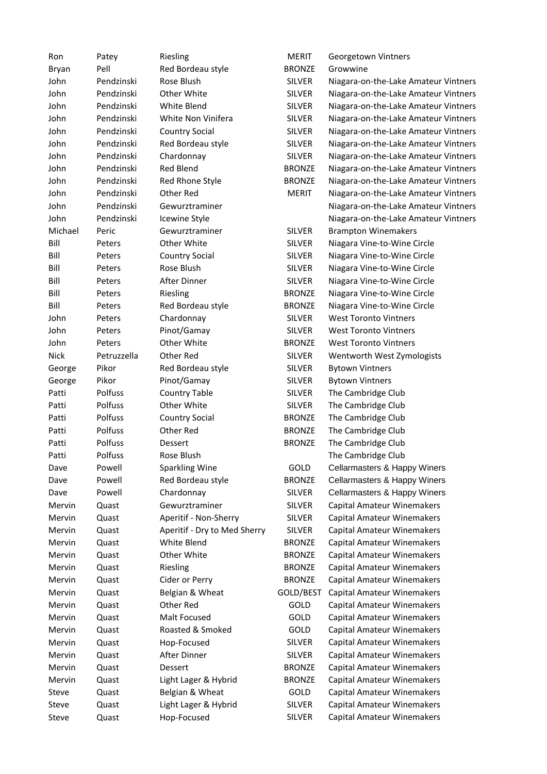| Ron              | Patey       | Riesling                     | MERIT                          | Georgetown Vintners                  |
|------------------|-------------|------------------------------|--------------------------------|--------------------------------------|
| Bryan            | Pell        | Red Bordeau style            | <b>BRONZE</b>                  | Growwine                             |
| John             | Pendzinski  | Rose Blush                   | <b>SILVER</b>                  | Niagara-on-the-Lake Amateur Vintners |
| John             | Pendzinski  | Other White                  | <b>SILVER</b>                  | Niagara-on-the-Lake Amateur Vintners |
| John             | Pendzinski  | White Blend                  | <b>SILVER</b>                  | Niagara-on-the-Lake Amateur Vintners |
| John             | Pendzinski  | White Non Vinifera           | <b>SILVER</b>                  | Niagara-on-the-Lake Amateur Vintners |
| John             | Pendzinski  | <b>Country Social</b>        | <b>SILVER</b>                  | Niagara-on-the-Lake Amateur Vintners |
| John             | Pendzinski  | Red Bordeau style            | <b>SILVER</b>                  | Niagara-on-the-Lake Amateur Vintners |
| John             | Pendzinski  | Chardonnay                   | <b>SILVER</b>                  | Niagara-on-the-Lake Amateur Vintners |
| John             | Pendzinski  | <b>Red Blend</b>             | <b>BRONZE</b>                  | Niagara-on-the-Lake Amateur Vintners |
| John             | Pendzinski  | Red Rhone Style              | <b>BRONZE</b>                  | Niagara-on-the-Lake Amateur Vintners |
| John             | Pendzinski  | Other Red                    | MERIT                          | Niagara-on-the-Lake Amateur Vintners |
| John             | Pendzinski  | Gewurztraminer               |                                | Niagara-on-the-Lake Amateur Vintners |
| John             | Pendzinski  | Icewine Style                |                                | Niagara-on-the-Lake Amateur Vintners |
| Michael          | Peric       | Gewurztraminer               | <b>SILVER</b>                  | <b>Brampton Winemakers</b>           |
| Bill             | Peters      | Other White                  | <b>SILVER</b>                  | Niagara Vine-to-Wine Circle          |
| Bill             | Peters      | <b>Country Social</b>        | <b>SILVER</b>                  | Niagara Vine-to-Wine Circle          |
| Bill             | Peters      | Rose Blush                   | <b>SILVER</b>                  | Niagara Vine-to-Wine Circle          |
| Bill             | Peters      | After Dinner                 | <b>SILVER</b>                  | Niagara Vine-to-Wine Circle          |
| Bill             | Peters      | Riesling                     | <b>BRONZE</b>                  | Niagara Vine-to-Wine Circle          |
| Bill             | Peters      | Red Bordeau style            | <b>BRONZE</b>                  | Niagara Vine-to-Wine Circle          |
| John             | Peters      | Chardonnay                   | <b>SILVER</b>                  | <b>West Toronto Vintners</b>         |
| John             | Peters      | Pinot/Gamay                  | <b>SILVER</b>                  | <b>West Toronto Vintners</b>         |
| John             | Peters      | Other White                  | <b>BRONZE</b>                  | <b>West Toronto Vintners</b>         |
| <b>Nick</b>      | Petruzzella | Other Red                    | <b>SILVER</b>                  | Wentworth West Zymologists           |
| George           | Pikor       | Red Bordeau style            | <b>SILVER</b>                  | <b>Bytown Vintners</b>               |
| George           | Pikor       | Pinot/Gamay                  | <b>SILVER</b>                  | <b>Bytown Vintners</b>               |
| Patti            | Polfuss     | <b>Country Table</b>         | <b>SILVER</b>                  | The Cambridge Club                   |
| Patti            | Polfuss     | Other White                  | <b>SILVER</b>                  | The Cambridge Club                   |
| Patti            | Polfuss     | Country Social               | <b>BRONZE</b>                  | The Cambridge Club                   |
| Patti            | Polfuss     | Other Red                    | <b>BRONZE</b>                  | The Cambridge Club                   |
| Patti            | Polfuss     | Dessert                      | <b>BRONZE</b>                  | The Cambridge Club                   |
| Patti            | Polfuss     | Rose Blush                   |                                | The Cambridge Club                   |
| Dave             | Powell      | Sparkling Wine               | GOLD                           | Cellarmasters & Happy Winers         |
| Dave             | Powell      | Red Bordeau style            | <b>BRONZE</b>                  | Cellarmasters & Happy Winers         |
| Dave             | Powell      | Chardonnay                   | <b>SILVER</b>                  | Cellarmasters & Happy Winers         |
| Mervin           | Quast       | Gewurztraminer               | <b>SILVER</b>                  | <b>Capital Amateur Winemakers</b>    |
| Mervin           | Quast       | Aperitif - Non-Sherry        | <b>SILVER</b>                  | Capital Amateur Winemakers           |
| Mervin           |             | Aperitif - Dry to Med Sherry |                                | Capital Amateur Winemakers           |
|                  | Quast       | White Blend                  | SILVER                         |                                      |
| Mervin<br>Mervin | Quast       | Other White                  | <b>BRONZE</b>                  | Capital Amateur Winemakers           |
| Mervin           | Quast       |                              | <b>BRONZE</b><br><b>BRONZE</b> | Capital Amateur Winemakers           |
|                  | Quast       | Riesling                     | <b>BRONZE</b>                  | Capital Amateur Winemakers           |
| Mervin           | Quast       | Cider or Perry               |                                | <b>Capital Amateur Winemakers</b>    |
| Mervin           | Quast       | Belgian & Wheat              | GOLD/BEST<br>GOLD              | <b>Capital Amateur Winemakers</b>    |
| Mervin           | Quast       | Other Red                    |                                | Capital Amateur Winemakers           |
| Mervin           | Quast       | Malt Focused                 | GOLD                           | Capital Amateur Winemakers           |
| Mervin           | Quast       | Roasted & Smoked             | GOLD                           | Capital Amateur Winemakers           |
| Mervin           | Quast       | Hop-Focused                  | <b>SILVER</b>                  | Capital Amateur Winemakers           |
| Mervin           | Quast       | After Dinner                 | <b>SILVER</b>                  | Capital Amateur Winemakers           |
| Mervin           | Quast       | Dessert                      | <b>BRONZE</b>                  | Capital Amateur Winemakers           |
| Mervin           | Quast       | Light Lager & Hybrid         | <b>BRONZE</b>                  | Capital Amateur Winemakers           |
| Steve            | Quast       | Belgian & Wheat              | GOLD                           | Capital Amateur Winemakers           |
| Steve            | Quast       | Light Lager & Hybrid         | <b>SILVER</b>                  | Capital Amateur Winemakers           |
| Steve            | Quast       | Hop-Focused                  | <b>SILVER</b>                  | <b>Capital Amateur Winemakers</b>    |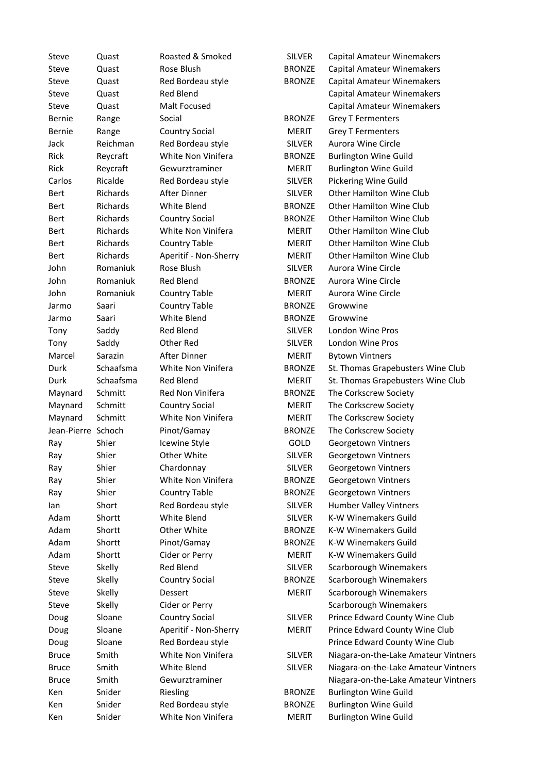| Steve              | Quast     | Roasted & Smoked      | <b>SILVER</b> | Capital Amateur Winemakers           |
|--------------------|-----------|-----------------------|---------------|--------------------------------------|
| Steve              | Quast     | Rose Blush            | <b>BRONZE</b> | <b>Capital Amateur Winemakers</b>    |
| Steve              | Quast     | Red Bordeau style     | <b>BRONZE</b> | Capital Amateur Winemakers           |
| <b>Steve</b>       | Quast     | Red Blend             |               | Capital Amateur Winemakers           |
| <b>Steve</b>       | Quast     | Malt Focused          |               | Capital Amateur Winemakers           |
| <b>Bernie</b>      | Range     | Social                | <b>BRONZE</b> | <b>Grey T Fermenters</b>             |
| <b>Bernie</b>      | Range     | <b>Country Social</b> | <b>MERIT</b>  | <b>Grey T Fermenters</b>             |
| Jack               | Reichman  | Red Bordeau style     | <b>SILVER</b> | Aurora Wine Circle                   |
| Rick               | Reycraft  | White Non Vinifera    | <b>BRONZE</b> | <b>Burlington Wine Guild</b>         |
| Rick               | Reycraft  | Gewurztraminer        | <b>MERIT</b>  | <b>Burlington Wine Guild</b>         |
| Carlos             | Ricalde   | Red Bordeau style     | <b>SILVER</b> | Pickering Wine Guild                 |
| Bert               | Richards  | After Dinner          | <b>SILVER</b> | <b>Other Hamilton Wine Club</b>      |
| Bert               | Richards  | <b>White Blend</b>    | <b>BRONZE</b> | <b>Other Hamilton Wine Club</b>      |
| Bert               | Richards  | <b>Country Social</b> | <b>BRONZE</b> | <b>Other Hamilton Wine Club</b>      |
| Bert               | Richards  | White Non Vinifera    | <b>MERIT</b>  | <b>Other Hamilton Wine Club</b>      |
| Bert               | Richards  | <b>Country Table</b>  | <b>MERIT</b>  | Other Hamilton Wine Club             |
| Bert               | Richards  | Aperitif - Non-Sherry | <b>MERIT</b>  | Other Hamilton Wine Club             |
| John               | Romaniuk  | Rose Blush            | <b>SILVER</b> | Aurora Wine Circle                   |
| John               | Romaniuk  | <b>Red Blend</b>      | <b>BRONZE</b> | Aurora Wine Circle                   |
| John               | Romaniuk  | <b>Country Table</b>  | <b>MERIT</b>  | Aurora Wine Circle                   |
| Jarmo              | Saari     | <b>Country Table</b>  | <b>BRONZE</b> | Growwine                             |
| Jarmo              | Saari     | White Blend           | <b>BRONZE</b> | Growwine                             |
| Tony               | Saddy     | Red Blend             | <b>SILVER</b> | London Wine Pros                     |
| Tony               | Saddy     | Other Red             | <b>SILVER</b> | London Wine Pros                     |
| Marcel             | Sarazin   | After Dinner          | <b>MERIT</b>  | <b>Bytown Vintners</b>               |
| Durk               | Schaafsma | White Non Vinifera    | <b>BRONZE</b> | St. Thomas Grapebusters Wine Club    |
| Durk               | Schaafsma | Red Blend             | MERIT         | St. Thomas Grapebusters Wine Club    |
| Maynard            | Schmitt   | Red Non Vinifera      | <b>BRONZE</b> | The Corkscrew Society                |
| Maynard            | Schmitt   | <b>Country Social</b> | <b>MERIT</b>  | The Corkscrew Society                |
| Maynard            | Schmitt   | White Non Vinifera    | <b>MERIT</b>  | The Corkscrew Society                |
| Jean-Pierre Schoch |           | Pinot/Gamay           | <b>BRONZE</b> | The Corkscrew Society                |
|                    | Shier     | Icewine Style         | GOLD          | Georgetown Vintners                  |
| Ray                |           | Other White           | <b>SILVER</b> |                                      |
| Ray                | Shier     |                       |               | Georgetown Vintners                  |
| Ray                | Shier     | Chardonnay            | <b>SILVER</b> | Georgetown Vintners                  |
| Ray                | Shier     | White Non Vinifera    | <b>BRONZE</b> | Georgetown Vintners                  |
| Ray                | Shier     | <b>Country Table</b>  | <b>BRONZE</b> | Georgetown Vintners                  |
| lan                | Short     | Red Bordeau style     | <b>SILVER</b> | Humber Valley Vintners               |
| Adam               | Shortt    | White Blend           | <b>SILVER</b> | K-W Winemakers Guild                 |
| Adam               | Shortt    | Other White           | <b>BRONZE</b> | K-W Winemakers Guild                 |
| Adam               | Shortt    | Pinot/Gamay           | <b>BRONZE</b> | K-W Winemakers Guild                 |
| Adam               | Shortt    | Cider or Perry        | <b>MERIT</b>  | <b>K-W Winemakers Guild</b>          |
| Steve              | Skelly    | Red Blend             | <b>SILVER</b> | Scarborough Winemakers               |
| Steve              | Skelly    | <b>Country Social</b> | <b>BRONZE</b> | Scarborough Winemakers               |
| Steve              | Skelly    | Dessert               | <b>MERIT</b>  | Scarborough Winemakers               |
| Steve              | Skelly    | Cider or Perry        |               | Scarborough Winemakers               |
| Doug               | Sloane    | <b>Country Social</b> | <b>SILVER</b> | Prince Edward County Wine Club       |
| Doug               | Sloane    | Aperitif - Non-Sherry | MERIT         | Prince Edward County Wine Club       |
| Doug               | Sloane    | Red Bordeau style     |               | Prince Edward County Wine Club       |
| <b>Bruce</b>       | Smith     | White Non Vinifera    | <b>SILVER</b> | Niagara-on-the-Lake Amateur Vintners |
| <b>Bruce</b>       | Smith     | White Blend           | <b>SILVER</b> | Niagara-on-the-Lake Amateur Vintners |
| Bruce              | Smith     | Gewurztraminer        |               | Niagara-on-the-Lake Amateur Vintners |
| Ken                | Snider    | Riesling              | <b>BRONZE</b> | <b>Burlington Wine Guild</b>         |
| Ken                | Snider    | Red Bordeau style     | <b>BRONZE</b> | <b>Burlington Wine Guild</b>         |
| Ken                | Snider    | White Non Vinifera    | <b>MERIT</b>  | <b>Burlington Wine Guild</b>         |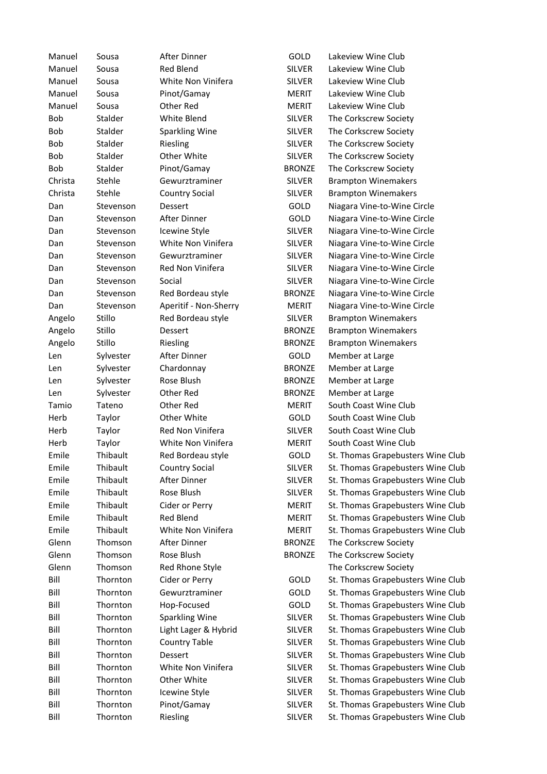| Manuel       | Sousa          | After Dinner                           | GOLD                          | Lakeview Wine Club                |
|--------------|----------------|----------------------------------------|-------------------------------|-----------------------------------|
| Manuel       | Sousa          | <b>Red Blend</b>                       | <b>SILVER</b>                 | Lakeview Wine Club                |
| Manuel       | Sousa          | White Non Vinifera                     | <b>SILVER</b>                 | Lakeview Wine Club                |
| Manuel       | Sousa          | Pinot/Gamay                            | <b>MERIT</b>                  | Lakeview Wine Club                |
| Manuel       | Sousa          | Other Red                              | <b>MERIT</b>                  | Lakeview Wine Club                |
| Bob          | Stalder        | White Blend                            | <b>SILVER</b>                 | The Corkscrew Society             |
| <b>Bob</b>   | Stalder        | <b>Sparkling Wine</b>                  | <b>SILVER</b>                 | The Corkscrew Society             |
| <b>Bob</b>   | Stalder        | Riesling                               | <b>SILVER</b>                 | The Corkscrew Society             |
| <b>Bob</b>   | <b>Stalder</b> | Other White                            | <b>SILVER</b>                 | The Corkscrew Society             |
| <b>Bob</b>   | Stalder        | Pinot/Gamay                            | <b>BRONZE</b>                 | The Corkscrew Society             |
| Christa      | Stehle         | Gewurztraminer                         | <b>SILVER</b>                 | <b>Brampton Winemakers</b>        |
| Christa      | Stehle         | <b>Country Social</b>                  | <b>SILVER</b>                 | <b>Brampton Winemakers</b>        |
| Dan          | Stevenson      | Dessert                                | GOLD                          | Niagara Vine-to-Wine Circle       |
| Dan          | Stevenson      | After Dinner                           | GOLD                          | Niagara Vine-to-Wine Circle       |
| Dan          | Stevenson      | Icewine Style                          | <b>SILVER</b>                 | Niagara Vine-to-Wine Circle       |
| Dan          | Stevenson      | White Non Vinifera                     | <b>SILVER</b>                 | Niagara Vine-to-Wine Circle       |
| Dan          | Stevenson      | Gewurztraminer                         | <b>SILVER</b>                 | Niagara Vine-to-Wine Circle       |
| Dan          | Stevenson      | Red Non Vinifera                       | <b>SILVER</b>                 | Niagara Vine-to-Wine Circle       |
| Dan          | Stevenson      | Social                                 | <b>SILVER</b>                 | Niagara Vine-to-Wine Circle       |
| Dan          | Stevenson      | Red Bordeau style                      | <b>BRONZE</b>                 | Niagara Vine-to-Wine Circle       |
| Dan          | Stevenson      | Aperitif - Non-Sherry                  | <b>MERIT</b>                  | Niagara Vine-to-Wine Circle       |
| Angelo       | Stillo         | Red Bordeau style                      | <b>SILVER</b>                 | <b>Brampton Winemakers</b>        |
| Angelo       | Stillo         | Dessert                                | <b>BRONZE</b>                 | <b>Brampton Winemakers</b>        |
| Angelo       | Stillo         | Riesling                               | <b>BRONZE</b>                 | <b>Brampton Winemakers</b>        |
| Len          | Sylvester      | After Dinner                           | GOLD                          | Member at Large                   |
| Len          | Sylvester      | Chardonnay                             | <b>BRONZE</b>                 | Member at Large                   |
| Len          | Sylvester      | Rose Blush                             | <b>BRONZE</b>                 | Member at Large                   |
|              | Sylvester      | Other Red                              | <b>BRONZE</b>                 | Member at Large                   |
| Len<br>Tamio | Tateno         | Other Red                              | <b>MERIT</b>                  | South Coast Wine Club             |
| Herb         |                | Other White                            | GOLD                          | South Coast Wine Club             |
|              | Taylor         |                                        |                               |                                   |
| Herb         | Taylor         | Red Non Vinifera<br>White Non Vinifera | <b>SILVER</b><br><b>MERIT</b> | South Coast Wine Club             |
| Herb         | Taylor         |                                        |                               | South Coast Wine Club             |
| Emile        | Thibault       | Red Bordeau style                      | GOLD                          | St. Thomas Grapebusters Wine Club |
| Emile        | Thibault       | <b>Country Social</b>                  | <b>SILVER</b>                 | St. Thomas Grapebusters Wine Club |
| Emile        | Thibault       | After Dinner                           | <b>SILVER</b>                 | St. Thomas Grapebusters Wine Club |
| Emile        | Thibault       | Rose Blush                             | <b>SILVER</b>                 | St. Thomas Grapebusters Wine Club |
| Emile        | Thibault       | Cider or Perry                         | <b>MERIT</b>                  | St. Thomas Grapebusters Wine Club |
| Emile        | Thibault       | Red Blend                              | <b>MERIT</b>                  | St. Thomas Grapebusters Wine Club |
| Emile        | Thibault       | White Non Vinifera                     | <b>MERIT</b>                  | St. Thomas Grapebusters Wine Club |
| Glenn        | Thomson        | After Dinner                           | <b>BRONZE</b>                 | The Corkscrew Society             |
| Glenn        | Thomson        | Rose Blush                             | <b>BRONZE</b>                 | The Corkscrew Society             |
| Glenn        | Thomson        | Red Rhone Style                        |                               | The Corkscrew Society             |
| Bill         | Thornton       | Cider or Perry                         | GOLD                          | St. Thomas Grapebusters Wine Club |
| Bill         | Thornton       | Gewurztraminer                         | GOLD                          | St. Thomas Grapebusters Wine Club |
| Bill         | Thornton       | Hop-Focused                            | GOLD                          | St. Thomas Grapebusters Wine Club |
| Bill         | Thornton       | <b>Sparkling Wine</b>                  | <b>SILVER</b>                 | St. Thomas Grapebusters Wine Club |
| Bill         | Thornton       | Light Lager & Hybrid                   | <b>SILVER</b>                 | St. Thomas Grapebusters Wine Club |
| Bill         | Thornton       | <b>Country Table</b>                   | <b>SILVER</b>                 | St. Thomas Grapebusters Wine Club |
| Bill         | Thornton       | Dessert                                | <b>SILVER</b>                 | St. Thomas Grapebusters Wine Club |
| Bill         | Thornton       | White Non Vinifera                     | <b>SILVER</b>                 | St. Thomas Grapebusters Wine Club |
| Bill         | Thornton       | Other White                            | <b>SILVER</b>                 | St. Thomas Grapebusters Wine Club |
| Bill         | Thornton       | Icewine Style                          | <b>SILVER</b>                 | St. Thomas Grapebusters Wine Club |
| Bill         | Thornton       | Pinot/Gamay                            | <b>SILVER</b>                 | St. Thomas Grapebusters Wine Club |
| Bill         | Thornton       | Riesling                               | <b>SILVER</b>                 | St. Thomas Grapebusters Wine Club |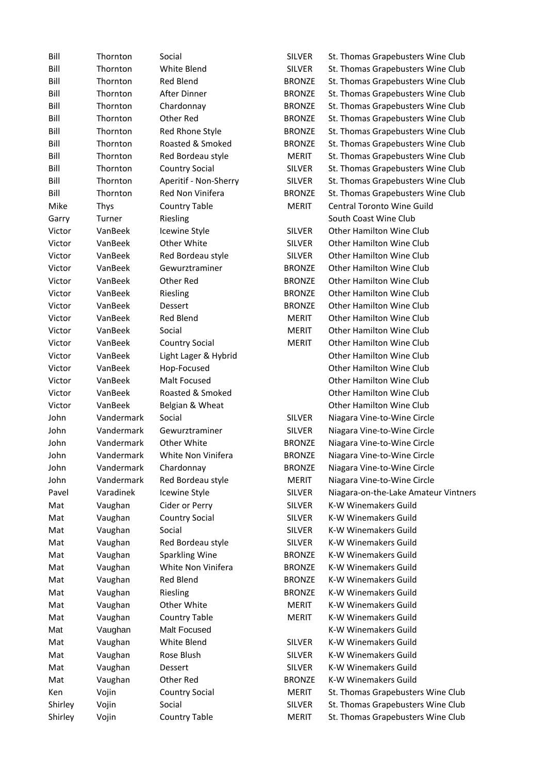| Bill    | Thornton   | Social                | <b>SILVER</b> | St. Thomas Grapebusters Wine Club    |
|---------|------------|-----------------------|---------------|--------------------------------------|
| Bill    | Thornton   | White Blend           | <b>SILVER</b> | St. Thomas Grapebusters Wine Club    |
| Bill    | Thornton   | <b>Red Blend</b>      | <b>BRONZE</b> | St. Thomas Grapebusters Wine Club    |
| Bill    | Thornton   | After Dinner          | <b>BRONZE</b> | St. Thomas Grapebusters Wine Club    |
| Bill    | Thornton   | Chardonnay            | <b>BRONZE</b> | St. Thomas Grapebusters Wine Club    |
| Bill    | Thornton   | Other Red             | <b>BRONZE</b> | St. Thomas Grapebusters Wine Club    |
| Bill    | Thornton   | Red Rhone Style       | <b>BRONZE</b> | St. Thomas Grapebusters Wine Club    |
| Bill    | Thornton   | Roasted & Smoked      | <b>BRONZE</b> | St. Thomas Grapebusters Wine Club    |
| Bill    | Thornton   | Red Bordeau style     | <b>MERIT</b>  | St. Thomas Grapebusters Wine Club    |
| Bill    | Thornton   | <b>Country Social</b> | <b>SILVER</b> | St. Thomas Grapebusters Wine Club    |
| Bill    | Thornton   | Aperitif - Non-Sherry | <b>SILVER</b> | St. Thomas Grapebusters Wine Club    |
| Bill    | Thornton   | Red Non Vinifera      | <b>BRONZE</b> | St. Thomas Grapebusters Wine Club    |
| Mike    | Thys       | <b>Country Table</b>  | <b>MERIT</b>  | Central Toronto Wine Guild           |
| Garry   | Turner     | Riesling              |               | South Coast Wine Club                |
| Victor  | VanBeek    | Icewine Style         | <b>SILVER</b> | Other Hamilton Wine Club             |
| Victor  | VanBeek    | Other White           | <b>SILVER</b> | Other Hamilton Wine Club             |
| Victor  | VanBeek    | Red Bordeau style     | <b>SILVER</b> | <b>Other Hamilton Wine Club</b>      |
| Victor  | VanBeek    | Gewurztraminer        | <b>BRONZE</b> | <b>Other Hamilton Wine Club</b>      |
| Victor  | VanBeek    | Other Red             | <b>BRONZE</b> | <b>Other Hamilton Wine Club</b>      |
| Victor  | VanBeek    | Riesling              | <b>BRONZE</b> | <b>Other Hamilton Wine Club</b>      |
| Victor  | VanBeek    | Dessert               | <b>BRONZE</b> | <b>Other Hamilton Wine Club</b>      |
| Victor  | VanBeek    | <b>Red Blend</b>      | <b>MERIT</b>  | <b>Other Hamilton Wine Club</b>      |
| Victor  | VanBeek    | Social                | <b>MERIT</b>  | Other Hamilton Wine Club             |
| Victor  | VanBeek    | <b>Country Social</b> | <b>MERIT</b>  | <b>Other Hamilton Wine Club</b>      |
|         | VanBeek    |                       |               | <b>Other Hamilton Wine Club</b>      |
| Victor  |            | Light Lager & Hybrid  |               |                                      |
| Victor  | VanBeek    | Hop-Focused           |               | <b>Other Hamilton Wine Club</b>      |
| Victor  | VanBeek    | Malt Focused          |               | <b>Other Hamilton Wine Club</b>      |
| Victor  | VanBeek    | Roasted & Smoked      |               | Other Hamilton Wine Club             |
| Victor  | VanBeek    | Belgian & Wheat       |               | <b>Other Hamilton Wine Club</b>      |
| John    | Vandermark | Social                | <b>SILVER</b> | Niagara Vine-to-Wine Circle          |
| John    | Vandermark | Gewurztraminer        | <b>SILVER</b> | Niagara Vine-to-Wine Circle          |
| John    | Vandermark | Other White           | <b>BRONZE</b> | Niagara Vine-to-Wine Circle          |
| John    | Vandermark | White Non Vinifera    | <b>BRONZE</b> | Niagara Vine-to-Wine Circle          |
| John    | Vandermark | Chardonnay            | <b>BRONZE</b> | Niagara Vine-to-Wine Circle          |
| John    | Vandermark | Red Bordeau style     | <b>MERIT</b>  | Niagara Vine-to-Wine Circle          |
| Pavel   | Varadinek  | Icewine Style         | <b>SILVER</b> | Niagara-on-the-Lake Amateur Vintners |
| Mat     | Vaughan    | Cider or Perry        | <b>SILVER</b> | K-W Winemakers Guild                 |
| Mat     | Vaughan    | <b>Country Social</b> | <b>SILVER</b> | K-W Winemakers Guild                 |
| Mat     | Vaughan    | Social                | <b>SILVER</b> | K-W Winemakers Guild                 |
| Mat     | Vaughan    | Red Bordeau style     | <b>SILVER</b> | K-W Winemakers Guild                 |
| Mat     | Vaughan    | Sparkling Wine        | <b>BRONZE</b> | K-W Winemakers Guild                 |
| Mat     | Vaughan    | White Non Vinifera    | <b>BRONZE</b> | K-W Winemakers Guild                 |
| Mat     | Vaughan    | Red Blend             | <b>BRONZE</b> | K-W Winemakers Guild                 |
| Mat     | Vaughan    | Riesling              | <b>BRONZE</b> | K-W Winemakers Guild                 |
| Mat     | Vaughan    | Other White           | <b>MERIT</b>  | K-W Winemakers Guild                 |
| Mat     | Vaughan    | <b>Country Table</b>  | MERIT         | K-W Winemakers Guild                 |
| Mat     | Vaughan    | Malt Focused          |               | K-W Winemakers Guild                 |
| Mat     | Vaughan    | White Blend           | <b>SILVER</b> | K-W Winemakers Guild                 |
| Mat     | Vaughan    | Rose Blush            | <b>SILVER</b> | K-W Winemakers Guild                 |
| Mat     | Vaughan    | Dessert               | SILVER        | K-W Winemakers Guild                 |
| Mat     | Vaughan    | Other Red             | <b>BRONZE</b> | K-W Winemakers Guild                 |
| Ken     | Vojin      | <b>Country Social</b> | <b>MERIT</b>  | St. Thomas Grapebusters Wine Club    |
| Shirley | Vojin      | Social                | <b>SILVER</b> | St. Thomas Grapebusters Wine Club    |
| Shirley | Vojin      | <b>Country Table</b>  | <b>MERIT</b>  | St. Thomas Grapebusters Wine Club    |
|         |            |                       |               |                                      |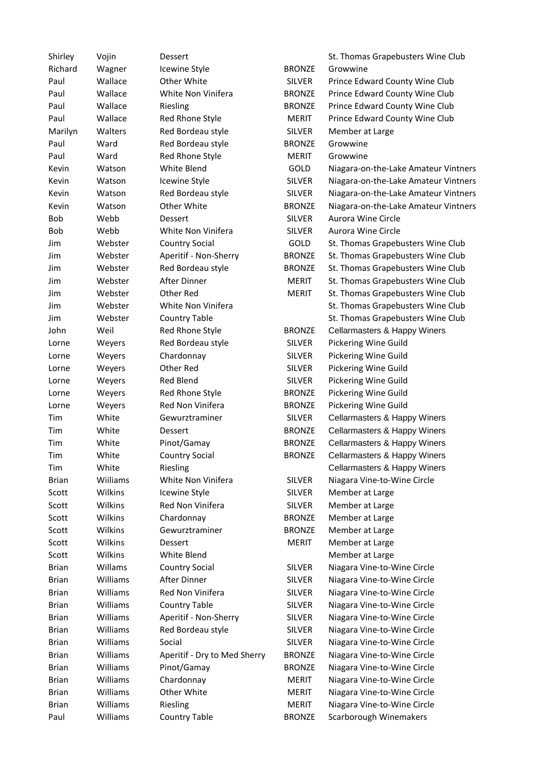| Shirley      | Vojin    | <b>Dessert</b>               |               | St. Thomas Grapebusters Wine Club    |
|--------------|----------|------------------------------|---------------|--------------------------------------|
| Richard      | Wagner   | Icewine Style                | <b>BRONZE</b> | Growwine                             |
| Paul         | Wallace  | Other White                  | <b>SILVER</b> | Prince Edward County Wine Club       |
| Paul         | Wallace  | White Non Vinifera           | <b>BRONZE</b> | Prince Edward County Wine Club       |
| Paul         | Wallace  | Riesling                     | <b>BRONZE</b> | Prince Edward County Wine Club       |
| Paul         | Wallace  | Red Rhone Style              | <b>MERIT</b>  | Prince Edward County Wine Club       |
| Marilyn      | Walters  | Red Bordeau style            | <b>SILVER</b> | Member at Large                      |
| Paul         | Ward     | Red Bordeau style            | <b>BRONZE</b> | Growwine                             |
| Paul         | Ward     | Red Rhone Style              | <b>MERIT</b>  | Growwine                             |
| Kevin        | Watson   | White Blend                  | GOLD          | Niagara-on-the-Lake Amateur Vintners |
| Kevin        | Watson   | <b>Icewine Style</b>         | <b>SILVER</b> | Niagara-on-the-Lake Amateur Vintners |
| Kevin        | Watson   | Red Bordeau style            | <b>SILVER</b> | Niagara-on-the-Lake Amateur Vintners |
| Kevin        | Watson   | Other White                  | <b>BRONZE</b> | Niagara-on-the-Lake Amateur Vintners |
| Bob          | Webb     | Dessert                      | <b>SILVER</b> | Aurora Wine Circle                   |
| Bob          | Webb     | White Non Vinifera           | <b>SILVER</b> | Aurora Wine Circle                   |
| Jim          | Webster  | <b>Country Social</b>        | <b>GOLD</b>   | St. Thomas Grapebusters Wine Club    |
| Jim          | Webster  | Aperitif - Non-Sherry        | <b>BRONZE</b> | St. Thomas Grapebusters Wine Club    |
| Jim          | Webster  | Red Bordeau style            | <b>BRONZE</b> | St. Thomas Grapebusters Wine Club    |
| Jim          | Webster  | After Dinner                 | <b>MERIT</b>  | St. Thomas Grapebusters Wine Club    |
| Jim          | Webster  | Other Red                    | <b>MERIT</b>  | St. Thomas Grapebusters Wine Club    |
| Jim          | Webster  | White Non Vinifera           |               | St. Thomas Grapebusters Wine Club    |
| Jim          | Webster  | <b>Country Table</b>         |               | St. Thomas Grapebusters Wine Club    |
| John         | Weil     | Red Rhone Style              | <b>BRONZE</b> | Cellarmasters & Happy Winers         |
|              |          |                              | <b>SILVER</b> |                                      |
| Lorne        | Weyers   | Red Bordeau style            |               | Pickering Wine Guild                 |
| Lorne        | Weyers   | Chardonnay                   | <b>SILVER</b> | Pickering Wine Guild                 |
| Lorne        | Weyers   | Other Red                    | <b>SILVER</b> | Pickering Wine Guild                 |
| Lorne        | Weyers   | <b>Red Blend</b>             | <b>SILVER</b> | Pickering Wine Guild                 |
| Lorne        | Weyers   | Red Rhone Style              | <b>BRONZE</b> | Pickering Wine Guild                 |
| Lorne        | Weyers   | Red Non Vinifera             | <b>BRONZE</b> | Pickering Wine Guild                 |
| Tim          | White    | Gewurztraminer               | <b>SILVER</b> | Cellarmasters & Happy Winers         |
| Tim          | White    | <b>Dessert</b>               | <b>BRONZE</b> | Cellarmasters & Happy Winers         |
| Tim          | White    | Pinot/Gamay                  | <b>BRONZE</b> | Cellarmasters & Happy Winers         |
| Tim          | White    | <b>Country Social</b>        | <b>BRONZE</b> | Cellarmasters & Happy Winers         |
| Tim          | White    | Riesling                     |               | Cellarmasters & Happy Winers         |
| <b>Brian</b> | Wiiliams | White Non Vinifera           | <b>SILVER</b> | Niagara Vine-to-Wine Circle          |
| Scott        | Wilkins  | Icewine Style                | <b>SILVER</b> | Member at Large                      |
| Scott        | Wilkins  | Red Non Vinifera             | <b>SILVER</b> | Member at Large                      |
| Scott        | Wilkins  | Chardonnay                   | <b>BRONZE</b> | Member at Large                      |
| Scott        | Wilkins  | Gewurztraminer               | <b>BRONZE</b> | Member at Large                      |
| Scott        | Wilkins  | <b>Dessert</b>               | <b>MERIT</b>  | Member at Large                      |
| Scott        | Wilkins  | White Blend                  |               | Member at Large                      |
| <b>Brian</b> | Willams  | <b>Country Social</b>        | <b>SILVER</b> | Niagara Vine-to-Wine Circle          |
| <b>Brian</b> | Williams | After Dinner                 | <b>SILVER</b> | Niagara Vine-to-Wine Circle          |
| <b>Brian</b> | Williams | Red Non Vinifera             | <b>SILVER</b> | Niagara Vine-to-Wine Circle          |
| <b>Brian</b> | Williams | <b>Country Table</b>         | <b>SILVER</b> | Niagara Vine-to-Wine Circle          |
| <b>Brian</b> | Williams | Aperitif - Non-Sherry        | <b>SILVER</b> | Niagara Vine-to-Wine Circle          |
| <b>Brian</b> | Williams | Red Bordeau style            | SILVER        | Niagara Vine-to-Wine Circle          |
| <b>Brian</b> | Williams | Social                       | <b>SILVER</b> | Niagara Vine-to-Wine Circle          |
| <b>Brian</b> | Williams | Aperitif - Dry to Med Sherry | <b>BRONZE</b> | Niagara Vine-to-Wine Circle          |
| <b>Brian</b> | Williams | Pinot/Gamay                  | <b>BRONZE</b> | Niagara Vine-to-Wine Circle          |
| <b>Brian</b> | Williams | Chardonnay                   | <b>MERIT</b>  | Niagara Vine-to-Wine Circle          |
| <b>Brian</b> | Williams | Other White                  | MERIT         | Niagara Vine-to-Wine Circle          |
| <b>Brian</b> | Williams | Riesling                     | <b>MERIT</b>  | Niagara Vine-to-Wine Circle          |
| Paul         | Williams | <b>Country Table</b>         | <b>BRONZE</b> | Scarborough Winemakers               |
|              |          |                              |               |                                      |